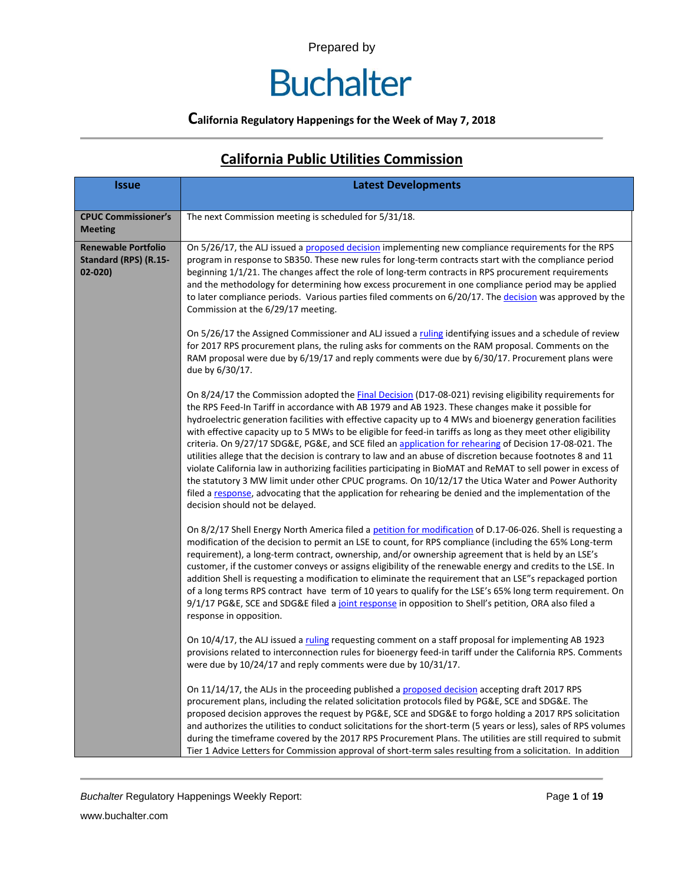# **Buchalter**

## **California Regulatory Happenings for the Week of May 7, 2018**

| <b>Issue</b>                                                      | <b>Latest Developments</b>                                                                                                                                                                                                                                                                                                                                                                                                                                                                                                                                                                                                                                                                                                                                                                                                                                                                                                                                                                                                                          |
|-------------------------------------------------------------------|-----------------------------------------------------------------------------------------------------------------------------------------------------------------------------------------------------------------------------------------------------------------------------------------------------------------------------------------------------------------------------------------------------------------------------------------------------------------------------------------------------------------------------------------------------------------------------------------------------------------------------------------------------------------------------------------------------------------------------------------------------------------------------------------------------------------------------------------------------------------------------------------------------------------------------------------------------------------------------------------------------------------------------------------------------|
| <b>CPUC Commissioner's</b><br><b>Meeting</b>                      | The next Commission meeting is scheduled for 5/31/18.                                                                                                                                                                                                                                                                                                                                                                                                                                                                                                                                                                                                                                                                                                                                                                                                                                                                                                                                                                                               |
| <b>Renewable Portfolio</b><br>Standard (RPS) (R.15-<br>$02 - 020$ | On 5/26/17, the ALJ issued a proposed decision implementing new compliance requirements for the RPS<br>program in response to SB350. These new rules for long-term contracts start with the compliance period<br>beginning 1/1/21. The changes affect the role of long-term contracts in RPS procurement requirements<br>and the methodology for determining how excess procurement in one compliance period may be applied<br>to later compliance periods. Various parties filed comments on 6/20/17. The decision was approved by the<br>Commission at the 6/29/17 meeting.                                                                                                                                                                                                                                                                                                                                                                                                                                                                       |
|                                                                   | On 5/26/17 the Assigned Commissioner and ALJ issued a ruling identifying issues and a schedule of review<br>for 2017 RPS procurement plans, the ruling asks for comments on the RAM proposal. Comments on the<br>RAM proposal were due by 6/19/17 and reply comments were due by 6/30/17. Procurement plans were<br>due by 6/30/17.                                                                                                                                                                                                                                                                                                                                                                                                                                                                                                                                                                                                                                                                                                                 |
|                                                                   | On 8/24/17 the Commission adopted the <b>Final Decision</b> (D17-08-021) revising eligibility requirements for<br>the RPS Feed-In Tariff in accordance with AB 1979 and AB 1923. These changes make it possible for<br>hydroelectric generation facilities with effective capacity up to 4 MWs and bioenergy generation facilities<br>with effective capacity up to 5 MWs to be eligible for feed-in tariffs as long as they meet other eligibility<br>criteria. On 9/27/17 SDG&E, PG&E, and SCE filed an application for rehearing of Decision 17-08-021. The<br>utilities allege that the decision is contrary to law and an abuse of discretion because footnotes 8 and 11<br>violate California law in authorizing facilities participating in BioMAT and ReMAT to sell power in excess of<br>the statutory 3 MW limit under other CPUC programs. On 10/12/17 the Utica Water and Power Authority<br>filed a response, advocating that the application for rehearing be denied and the implementation of the<br>decision should not be delayed. |
|                                                                   | On 8/2/17 Shell Energy North America filed a petition for modification of D.17-06-026. Shell is requesting a<br>modification of the decision to permit an LSE to count, for RPS compliance (including the 65% Long-term<br>requirement), a long-term contract, ownership, and/or ownership agreement that is held by an LSE's<br>customer, if the customer conveys or assigns eligibility of the renewable energy and credits to the LSE. In<br>addition Shell is requesting a modification to eliminate the requirement that an LSE"s repackaged portion<br>of a long terms RPS contract have term of 10 years to qualify for the LSE's 65% long term requirement. On<br>9/1/17 PG&E, SCE and SDG&E filed a joint response in opposition to Shell's petition, ORA also filed a<br>response in opposition.                                                                                                                                                                                                                                          |
|                                                                   | On 10/4/17, the ALJ issued a ruling requesting comment on a staff proposal for implementing AB 1923<br>provisions related to interconnection rules for bioenergy feed-in tariff under the California RPS. Comments<br>were due by 10/24/17 and reply comments were due by 10/31/17.                                                                                                                                                                                                                                                                                                                                                                                                                                                                                                                                                                                                                                                                                                                                                                 |
|                                                                   | On 11/14/17, the ALJs in the proceeding published a proposed decision accepting draft 2017 RPS<br>procurement plans, including the related solicitation protocols filed by PG&E, SCE and SDG&E. The<br>proposed decision approves the request by PG&E, SCE and SDG&E to forgo holding a 2017 RPS solicitation<br>and authorizes the utilities to conduct solicitations for the short-term (5 years or less), sales of RPS volumes<br>during the timeframe covered by the 2017 RPS Procurement Plans. The utilities are still required to submit<br>Tier 1 Advice Letters for Commission approval of short-term sales resulting from a solicitation. In addition                                                                                                                                                                                                                                                                                                                                                                                     |

## **California Public Utilities Commission**

**Buchalter Regulatory Happenings Weekly Report:** Page 1 of 19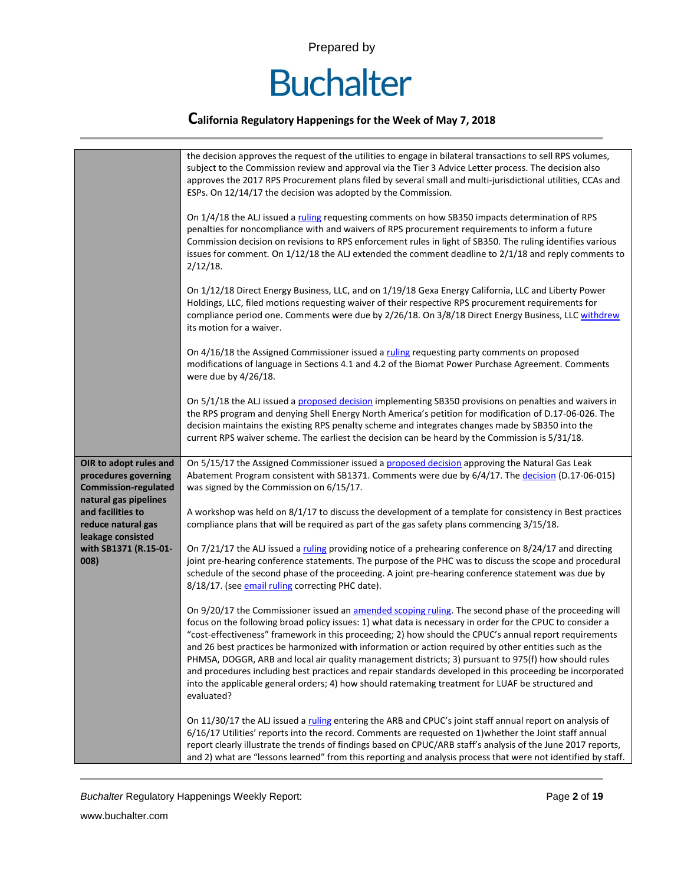

### **California Regulatory Happenings for the Week of May 7, 2018**

|                                                                                                        | the decision approves the request of the utilities to engage in bilateral transactions to sell RPS volumes,<br>subject to the Commission review and approval via the Tier 3 Advice Letter process. The decision also<br>approves the 2017 RPS Procurement plans filed by several small and multi-jurisdictional utilities, CCAs and<br>ESPs. On 12/14/17 the decision was adopted by the Commission.<br>On 1/4/18 the ALJ issued a ruling requesting comments on how SB350 impacts determination of RPS<br>penalties for noncompliance with and waivers of RPS procurement requirements to inform a future<br>Commission decision on revisions to RPS enforcement rules in light of SB350. The ruling identifies various<br>issues for comment. On $1/12/18$ the ALJ extended the comment deadline to $2/1/18$ and reply comments to<br>$2/12/18$ .<br>On 1/12/18 Direct Energy Business, LLC, and on 1/19/18 Gexa Energy California, LLC and Liberty Power |
|--------------------------------------------------------------------------------------------------------|-------------------------------------------------------------------------------------------------------------------------------------------------------------------------------------------------------------------------------------------------------------------------------------------------------------------------------------------------------------------------------------------------------------------------------------------------------------------------------------------------------------------------------------------------------------------------------------------------------------------------------------------------------------------------------------------------------------------------------------------------------------------------------------------------------------------------------------------------------------------------------------------------------------------------------------------------------------|
|                                                                                                        | Holdings, LLC, filed motions requesting waiver of their respective RPS procurement requirements for<br>compliance period one. Comments were due by 2/26/18. On 3/8/18 Direct Energy Business, LLC withdrew<br>its motion for a waiver.                                                                                                                                                                                                                                                                                                                                                                                                                                                                                                                                                                                                                                                                                                                      |
|                                                                                                        | On 4/16/18 the Assigned Commissioner issued a ruling requesting party comments on proposed<br>modifications of language in Sections 4.1 and 4.2 of the Biomat Power Purchase Agreement. Comments<br>were due by 4/26/18.                                                                                                                                                                                                                                                                                                                                                                                                                                                                                                                                                                                                                                                                                                                                    |
|                                                                                                        | On 5/1/18 the ALJ issued a proposed decision implementing SB350 provisions on penalties and waivers in<br>the RPS program and denying Shell Energy North America's petition for modification of D.17-06-026. The<br>decision maintains the existing RPS penalty scheme and integrates changes made by SB350 into the<br>current RPS waiver scheme. The earliest the decision can be heard by the Commission is 5/31/18.                                                                                                                                                                                                                                                                                                                                                                                                                                                                                                                                     |
| OIR to adopt rules and<br>procedures governing<br><b>Commission-regulated</b><br>natural gas pipelines | On 5/15/17 the Assigned Commissioner issued a proposed decision approving the Natural Gas Leak<br>Abatement Program consistent with SB1371. Comments were due by 6/4/17. The decision (D.17-06-015)<br>was signed by the Commission on 6/15/17.                                                                                                                                                                                                                                                                                                                                                                                                                                                                                                                                                                                                                                                                                                             |
| and facilities to<br>reduce natural gas<br>leakage consisted                                           | A workshop was held on 8/1/17 to discuss the development of a template for consistency in Best practices<br>compliance plans that will be required as part of the gas safety plans commencing 3/15/18.                                                                                                                                                                                                                                                                                                                                                                                                                                                                                                                                                                                                                                                                                                                                                      |
| with SB1371 (R.15-01-<br>008)                                                                          | On 7/21/17 the ALJ issued a ruling providing notice of a prehearing conference on 8/24/17 and directing<br>joint pre-hearing conference statements. The purpose of the PHC was to discuss the scope and procedural<br>schedule of the second phase of the proceeding. A joint pre-hearing conference statement was due by<br>8/18/17. (see email ruling correcting PHC date).                                                                                                                                                                                                                                                                                                                                                                                                                                                                                                                                                                               |
|                                                                                                        | On 9/20/17 the Commissioner issued an amended scoping ruling. The second phase of the proceeding will<br>focus on the following broad policy issues: 1) what data is necessary in order for the CPUC to consider a<br>"cost-effectiveness" framework in this proceeding; 2) how should the CPUC's annual report requirements<br>and 26 best practices be harmonized with information or action required by other entities such as the<br>PHMSA, DOGGR, ARB and local air quality management districts; 3) pursuant to 975(f) how should rules<br>and procedures including best practices and repair standards developed in this proceeding be incorporated<br>into the applicable general orders; 4) how should ratemaking treatment for LUAF be structured and<br>evaluated?                                                                                                                                                                               |
|                                                                                                        | On 11/30/17 the ALJ issued a ruling entering the ARB and CPUC's joint staff annual report on analysis of<br>6/16/17 Utilities' reports into the record. Comments are requested on 1) whether the Joint staff annual<br>report clearly illustrate the trends of findings based on CPUC/ARB staff's analysis of the June 2017 reports,<br>and 2) what are "lessons learned" from this reporting and analysis process that were not identified by staff.                                                                                                                                                                                                                                                                                                                                                                                                                                                                                                       |

**Buchalter Regulatory Happenings Weekly Report:** Page 2 of 19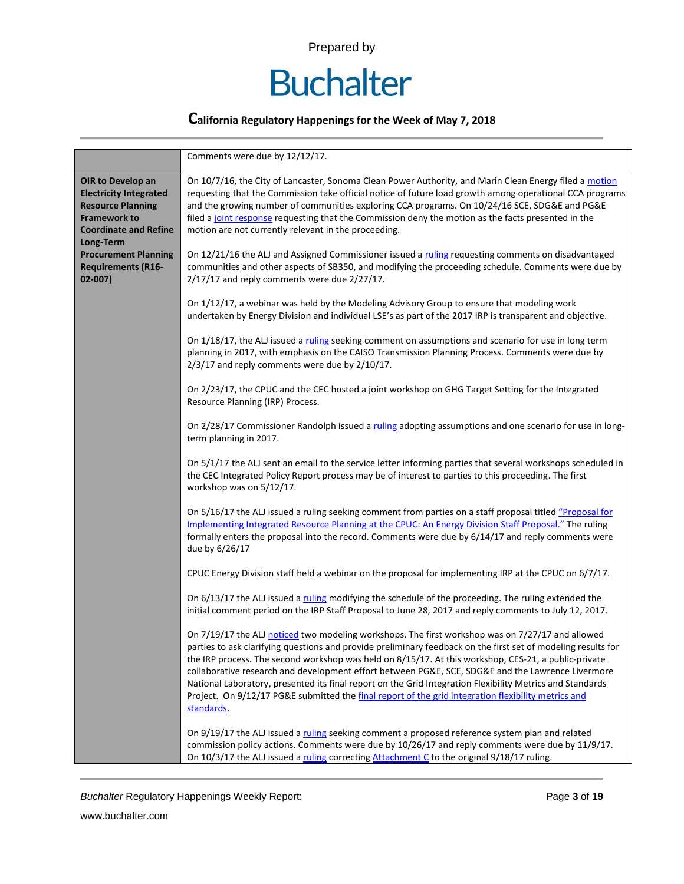

### **California Regulatory Happenings for the Week of May 7, 2018**

|                                                                                                                                                    | Comments were due by 12/12/17.                                                                                                                                                                                                                                                                                                                                                                                                                                                                                                                                                                                                                                   |
|----------------------------------------------------------------------------------------------------------------------------------------------------|------------------------------------------------------------------------------------------------------------------------------------------------------------------------------------------------------------------------------------------------------------------------------------------------------------------------------------------------------------------------------------------------------------------------------------------------------------------------------------------------------------------------------------------------------------------------------------------------------------------------------------------------------------------|
| OIR to Develop an<br><b>Electricity Integrated</b><br><b>Resource Planning</b><br><b>Framework to</b><br><b>Coordinate and Refine</b><br>Long-Term | On 10/7/16, the City of Lancaster, Sonoma Clean Power Authority, and Marin Clean Energy filed a motion<br>requesting that the Commission take official notice of future load growth among operational CCA programs<br>and the growing number of communities exploring CCA programs. On 10/24/16 SCE, SDG&E and PG&E<br>filed a joint response requesting that the Commission deny the motion as the facts presented in the<br>motion are not currently relevant in the proceeding.                                                                                                                                                                               |
| <b>Procurement Planning</b><br><b>Requirements (R16-</b><br>$02 - 007$                                                                             | On 12/21/16 the ALJ and Assigned Commissioner issued a ruling requesting comments on disadvantaged<br>communities and other aspects of SB350, and modifying the proceeding schedule. Comments were due by<br>2/17/17 and reply comments were due 2/27/17.                                                                                                                                                                                                                                                                                                                                                                                                        |
|                                                                                                                                                    | On 1/12/17, a webinar was held by the Modeling Advisory Group to ensure that modeling work<br>undertaken by Energy Division and individual LSE's as part of the 2017 IRP is transparent and objective.                                                                                                                                                                                                                                                                                                                                                                                                                                                           |
|                                                                                                                                                    | On 1/18/17, the ALJ issued a ruling seeking comment on assumptions and scenario for use in long term<br>planning in 2017, with emphasis on the CAISO Transmission Planning Process. Comments were due by<br>2/3/17 and reply comments were due by 2/10/17.                                                                                                                                                                                                                                                                                                                                                                                                       |
|                                                                                                                                                    | On 2/23/17, the CPUC and the CEC hosted a joint workshop on GHG Target Setting for the Integrated<br>Resource Planning (IRP) Process.                                                                                                                                                                                                                                                                                                                                                                                                                                                                                                                            |
|                                                                                                                                                    | On 2/28/17 Commissioner Randolph issued a ruling adopting assumptions and one scenario for use in long-<br>term planning in 2017.                                                                                                                                                                                                                                                                                                                                                                                                                                                                                                                                |
|                                                                                                                                                    | On 5/1/17 the ALJ sent an email to the service letter informing parties that several workshops scheduled in<br>the CEC Integrated Policy Report process may be of interest to parties to this proceeding. The first<br>workshop was on 5/12/17.                                                                                                                                                                                                                                                                                                                                                                                                                  |
|                                                                                                                                                    | On 5/16/17 the ALJ issued a ruling seeking comment from parties on a staff proposal titled "Proposal for<br>Implementing Integrated Resource Planning at the CPUC: An Energy Division Staff Proposal." The ruling<br>formally enters the proposal into the record. Comments were due by 6/14/17 and reply comments were<br>due by 6/26/17                                                                                                                                                                                                                                                                                                                        |
|                                                                                                                                                    | CPUC Energy Division staff held a webinar on the proposal for implementing IRP at the CPUC on 6/7/17.                                                                                                                                                                                                                                                                                                                                                                                                                                                                                                                                                            |
|                                                                                                                                                    | On 6/13/17 the ALJ issued a ruling modifying the schedule of the proceeding. The ruling extended the<br>initial comment period on the IRP Staff Proposal to June 28, 2017 and reply comments to July 12, 2017.                                                                                                                                                                                                                                                                                                                                                                                                                                                   |
|                                                                                                                                                    | On 7/19/17 the ALJ noticed two modeling workshops. The first workshop was on 7/27/17 and allowed<br>parties to ask clarifying questions and provide preliminary feedback on the first set of modeling results for<br>the IRP process. The second workshop was held on 8/15/17. At this workshop, CES-21, a public-private<br>collaborative research and development effort between PG&E, SCE, SDG&E and the Lawrence Livermore<br>National Laboratory, presented its final report on the Grid Integration Flexibility Metrics and Standards<br>Project. On 9/12/17 PG&E submitted the final report of the grid integration flexibility metrics and<br>standards. |
|                                                                                                                                                    | On 9/19/17 the ALJ issued a ruling seeking comment a proposed reference system plan and related<br>commission policy actions. Comments were due by 10/26/17 and reply comments were due by 11/9/17.<br>On 10/3/17 the ALJ issued a ruling correcting Attachment C to the original 9/18/17 ruling.                                                                                                                                                                                                                                                                                                                                                                |

**Buchalter Regulatory Happenings Weekly Report:** Page 3 of 19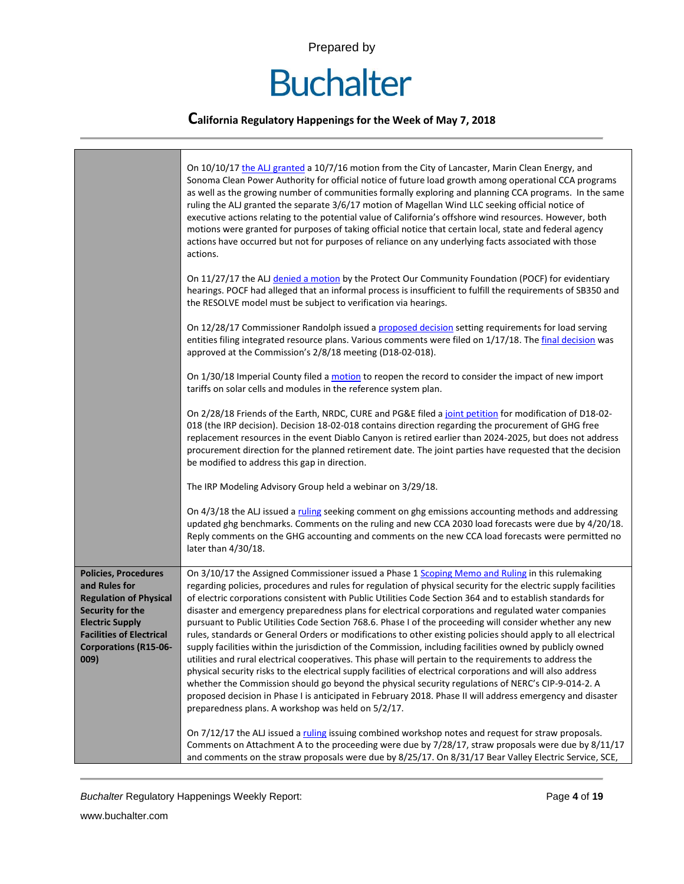# **Buchalter**

### **California Regulatory Happenings for the Week of May 7, 2018**

|                                                                                                                                                                                                        | On 10/10/17 the ALJ granted a 10/7/16 motion from the City of Lancaster, Marin Clean Energy, and<br>Sonoma Clean Power Authority for official notice of future load growth among operational CCA programs<br>as well as the growing number of communities formally exploring and planning CCA programs. In the same<br>ruling the ALJ granted the separate 3/6/17 motion of Magellan Wind LLC seeking official notice of<br>executive actions relating to the potential value of California's offshore wind resources. However, both<br>motions were granted for purposes of taking official notice that certain local, state and federal agency<br>actions have occurred but not for purposes of reliance on any underlying facts associated with those<br>actions.                                                                                                                                                                                                                                                                                                                                                                                                                                                                                                                   |
|--------------------------------------------------------------------------------------------------------------------------------------------------------------------------------------------------------|----------------------------------------------------------------------------------------------------------------------------------------------------------------------------------------------------------------------------------------------------------------------------------------------------------------------------------------------------------------------------------------------------------------------------------------------------------------------------------------------------------------------------------------------------------------------------------------------------------------------------------------------------------------------------------------------------------------------------------------------------------------------------------------------------------------------------------------------------------------------------------------------------------------------------------------------------------------------------------------------------------------------------------------------------------------------------------------------------------------------------------------------------------------------------------------------------------------------------------------------------------------------------------------|
|                                                                                                                                                                                                        | On 11/27/17 the ALJ denied a motion by the Protect Our Community Foundation (POCF) for evidentiary<br>hearings. POCF had alleged that an informal process is insufficient to fulfill the requirements of SB350 and<br>the RESOLVE model must be subject to verification via hearings.                                                                                                                                                                                                                                                                                                                                                                                                                                                                                                                                                                                                                                                                                                                                                                                                                                                                                                                                                                                                  |
|                                                                                                                                                                                                        | On 12/28/17 Commissioner Randolph issued a proposed decision setting requirements for load serving<br>entities filing integrated resource plans. Various comments were filed on 1/17/18. The final decision was<br>approved at the Commission's 2/8/18 meeting (D18-02-018).                                                                                                                                                                                                                                                                                                                                                                                                                                                                                                                                                                                                                                                                                                                                                                                                                                                                                                                                                                                                           |
|                                                                                                                                                                                                        | On 1/30/18 Imperial County filed a motion to reopen the record to consider the impact of new import<br>tariffs on solar cells and modules in the reference system plan.                                                                                                                                                                                                                                                                                                                                                                                                                                                                                                                                                                                                                                                                                                                                                                                                                                                                                                                                                                                                                                                                                                                |
|                                                                                                                                                                                                        | On 2/28/18 Friends of the Earth, NRDC, CURE and PG&E filed a joint petition for modification of D18-02-<br>018 (the IRP decision). Decision 18-02-018 contains direction regarding the procurement of GHG free<br>replacement resources in the event Diablo Canyon is retired earlier than 2024-2025, but does not address<br>procurement direction for the planned retirement date. The joint parties have requested that the decision<br>be modified to address this gap in direction.                                                                                                                                                                                                                                                                                                                                                                                                                                                                                                                                                                                                                                                                                                                                                                                               |
|                                                                                                                                                                                                        | The IRP Modeling Advisory Group held a webinar on 3/29/18.                                                                                                                                                                                                                                                                                                                                                                                                                                                                                                                                                                                                                                                                                                                                                                                                                                                                                                                                                                                                                                                                                                                                                                                                                             |
|                                                                                                                                                                                                        | On 4/3/18 the ALJ issued a ruling seeking comment on ghg emissions accounting methods and addressing<br>updated ghg benchmarks. Comments on the ruling and new CCA 2030 load forecasts were due by 4/20/18.<br>Reply comments on the GHG accounting and comments on the new CCA load forecasts were permitted no<br>later than 4/30/18.                                                                                                                                                                                                                                                                                                                                                                                                                                                                                                                                                                                                                                                                                                                                                                                                                                                                                                                                                |
| <b>Policies, Procedures</b><br>and Rules for<br><b>Regulation of Physical</b><br>Security for the<br><b>Electric Supply</b><br><b>Facilities of Electrical</b><br><b>Corporations (R15-06-</b><br>009) | On 3/10/17 the Assigned Commissioner issued a Phase 1 Scoping Memo and Ruling in this rulemaking<br>regarding policies, procedures and rules for regulation of physical security for the electric supply facilities<br>of electric corporations consistent with Public Utilities Code Section 364 and to establish standards for<br>disaster and emergency preparedness plans for electrical corporations and regulated water companies<br>pursuant to Public Utilities Code Section 768.6. Phase I of the proceeding will consider whether any new<br>rules, standards or General Orders or modifications to other existing policies should apply to all electrical<br>supply facilities within the jurisdiction of the Commission, including facilities owned by publicly owned<br>utilities and rural electrical cooperatives. This phase will pertain to the requirements to address the<br>physical security risks to the electrical supply facilities of electrical corporations and will also address<br>whether the Commission should go beyond the physical security regulations of NERC's CIP-9-014-2. A<br>proposed decision in Phase I is anticipated in February 2018. Phase II will address emergency and disaster<br>preparedness plans. A workshop was held on 5/2/17. |
|                                                                                                                                                                                                        | On 7/12/17 the ALJ issued a ruling issuing combined workshop notes and request for straw proposals.<br>Comments on Attachment A to the proceeding were due by 7/28/17, straw proposals were due by 8/11/17<br>and comments on the straw proposals were due by 8/25/17. On 8/31/17 Bear Valley Electric Service, SCE,                                                                                                                                                                                                                                                                                                                                                                                                                                                                                                                                                                                                                                                                                                                                                                                                                                                                                                                                                                   |

**Buchalter Regulatory Happenings Weekly Report:** Page 4 of 19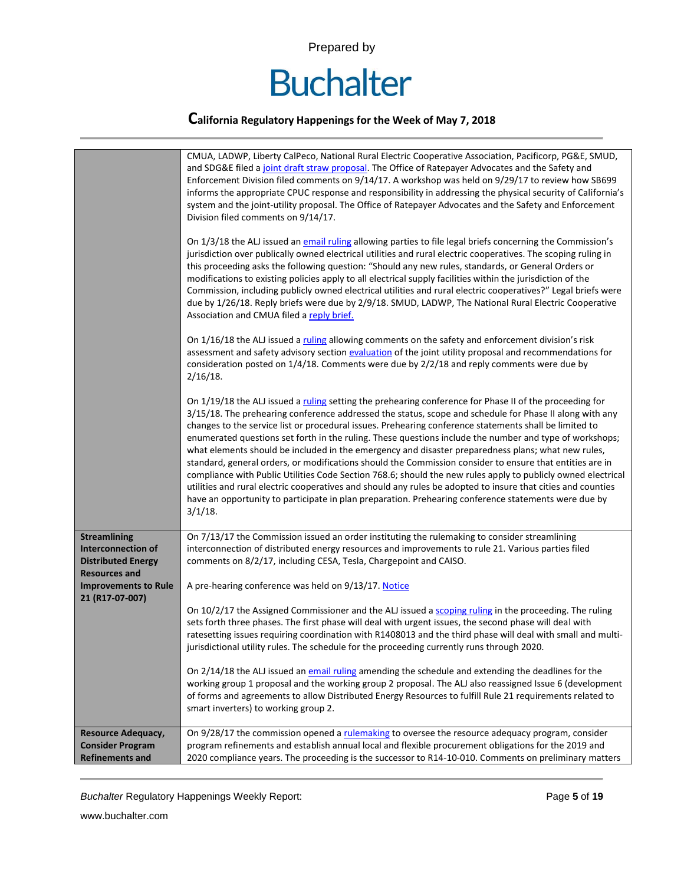

|                                                                                                                                                         | CMUA, LADWP, Liberty CalPeco, National Rural Electric Cooperative Association, Pacificorp, PG&E, SMUD,<br>and SDG&E filed a joint draft straw proposal. The Office of Ratepayer Advocates and the Safety and<br>Enforcement Division filed comments on 9/14/17. A workshop was held on 9/29/17 to review how SB699<br>informs the appropriate CPUC response and responsibility in addressing the physical security of California's<br>system and the joint-utility proposal. The Office of Ratepayer Advocates and the Safety and Enforcement<br>Division filed comments on 9/14/17.<br>On 1/3/18 the ALJ issued an email ruling allowing parties to file legal briefs concerning the Commission's<br>jurisdiction over publically owned electrical utilities and rural electric cooperatives. The scoping ruling in<br>this proceeding asks the following question: "Should any new rules, standards, or General Orders or<br>modifications to existing policies apply to all electrical supply facilities within the jurisdiction of the<br>Commission, including publicly owned electrical utilities and rural electric cooperatives?" Legal briefs were<br>due by 1/26/18. Reply briefs were due by 2/9/18. SMUD, LADWP, The National Rural Electric Cooperative<br>Association and CMUA filed a reply brief.<br>On 1/16/18 the ALJ issued a ruling allowing comments on the safety and enforcement division's risk<br>assessment and safety advisory section evaluation of the joint utility proposal and recommendations for<br>consideration posted on 1/4/18. Comments were due by 2/2/18 and reply comments were due by<br>$2/16/18$ .<br>On 1/19/18 the ALJ issued a ruling setting the prehearing conference for Phase II of the proceeding for<br>3/15/18. The prehearing conference addressed the status, scope and schedule for Phase II along with any<br>changes to the service list or procedural issues. Prehearing conference statements shall be limited to<br>enumerated questions set forth in the ruling. These questions include the number and type of workshops;<br>what elements should be included in the emergency and disaster preparedness plans; what new rules,<br>standard, general orders, or modifications should the Commission consider to ensure that entities are in<br>compliance with Public Utilities Code Section 768.6; should the new rules apply to publicly owned electrical<br>utilities and rural electric cooperatives and should any rules be adopted to insure that cities and counties<br>have an opportunity to participate in plan preparation. Prehearing conference statements were due by<br>$3/1/18$ . |
|---------------------------------------------------------------------------------------------------------------------------------------------------------|--------------------------------------------------------------------------------------------------------------------------------------------------------------------------------------------------------------------------------------------------------------------------------------------------------------------------------------------------------------------------------------------------------------------------------------------------------------------------------------------------------------------------------------------------------------------------------------------------------------------------------------------------------------------------------------------------------------------------------------------------------------------------------------------------------------------------------------------------------------------------------------------------------------------------------------------------------------------------------------------------------------------------------------------------------------------------------------------------------------------------------------------------------------------------------------------------------------------------------------------------------------------------------------------------------------------------------------------------------------------------------------------------------------------------------------------------------------------------------------------------------------------------------------------------------------------------------------------------------------------------------------------------------------------------------------------------------------------------------------------------------------------------------------------------------------------------------------------------------------------------------------------------------------------------------------------------------------------------------------------------------------------------------------------------------------------------------------------------------------------------------------------------------------------------------------------------------------------------------------------------------------------------------------------------------------------------------------------------------------------------------------------------------------------------------------------------------------------------------------------------------------------------------------------------------------------------------------------------------------------------------------------------------------------|
| <b>Streamlining</b><br><b>Interconnection of</b><br><b>Distributed Energy</b><br><b>Resources and</b><br><b>Improvements to Rule</b><br>21 (R17-07-007) | On 7/13/17 the Commission issued an order instituting the rulemaking to consider streamlining<br>interconnection of distributed energy resources and improvements to rule 21. Various parties filed<br>comments on 8/2/17, including CESA, Tesla, Chargepoint and CAISO.<br>A pre-hearing conference was held on 9/13/17. Notice<br>On 10/2/17 the Assigned Commissioner and the ALJ issued a scoping ruling in the proceeding. The ruling<br>sets forth three phases. The first phase will deal with urgent issues, the second phase will deal with<br>ratesetting issues requiring coordination with R1408013 and the third phase will deal with small and multi-<br>jurisdictional utility rules. The schedule for the proceeding currently runs through 2020.<br>On 2/14/18 the ALJ issued an email ruling amending the schedule and extending the deadlines for the<br>working group 1 proposal and the working group 2 proposal. The ALJ also reassigned Issue 6 (development<br>of forms and agreements to allow Distributed Energy Resources to fulfill Rule 21 requirements related to<br>smart inverters) to working group 2.                                                                                                                                                                                                                                                                                                                                                                                                                                                                                                                                                                                                                                                                                                                                                                                                                                                                                                                                                                                                                                                                                                                                                                                                                                                                                                                                                                                                                                                                                                                            |
| <b>Resource Adequacy,</b><br><b>Consider Program</b><br><b>Refinements and</b>                                                                          | On 9/28/17 the commission opened a rulemaking to oversee the resource adequacy program, consider<br>program refinements and establish annual local and flexible procurement obligations for the 2019 and<br>2020 compliance years. The proceeding is the successor to R14-10-010. Comments on preliminary matters                                                                                                                                                                                                                                                                                                                                                                                                                                                                                                                                                                                                                                                                                                                                                                                                                                                                                                                                                                                                                                                                                                                                                                                                                                                                                                                                                                                                                                                                                                                                                                                                                                                                                                                                                                                                                                                                                                                                                                                                                                                                                                                                                                                                                                                                                                                                                  |

**Buchalter Regulatory Happenings Weekly Report:** Page 5 of 19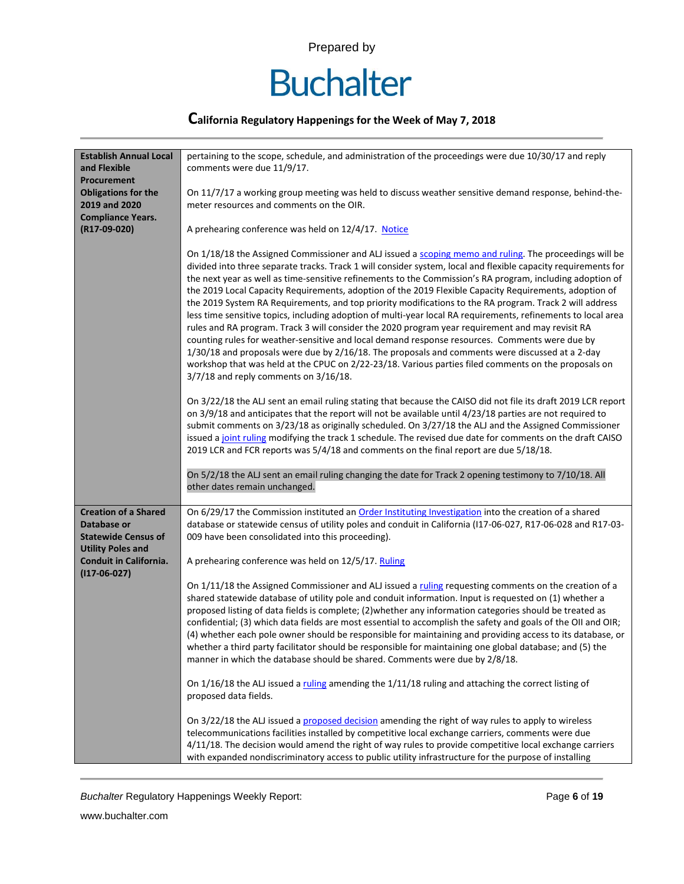# **Buchalter**

### **California Regulatory Happenings for the Week of May 7, 2018**

| <b>Establish Annual Local</b>                                                                        | pertaining to the scope, schedule, and administration of the proceedings were due 10/30/17 and reply                                                                                                                                                                                                                                                                                                                                                                                                                                                                                                                                                                                                                                                                                                                                                                                                                                                                                                                                                                                                                                  |
|------------------------------------------------------------------------------------------------------|---------------------------------------------------------------------------------------------------------------------------------------------------------------------------------------------------------------------------------------------------------------------------------------------------------------------------------------------------------------------------------------------------------------------------------------------------------------------------------------------------------------------------------------------------------------------------------------------------------------------------------------------------------------------------------------------------------------------------------------------------------------------------------------------------------------------------------------------------------------------------------------------------------------------------------------------------------------------------------------------------------------------------------------------------------------------------------------------------------------------------------------|
| and Flexible                                                                                         | comments were due 11/9/17.                                                                                                                                                                                                                                                                                                                                                                                                                                                                                                                                                                                                                                                                                                                                                                                                                                                                                                                                                                                                                                                                                                            |
| Procurement                                                                                          |                                                                                                                                                                                                                                                                                                                                                                                                                                                                                                                                                                                                                                                                                                                                                                                                                                                                                                                                                                                                                                                                                                                                       |
| <b>Obligations for the</b>                                                                           | On 11/7/17 a working group meeting was held to discuss weather sensitive demand response, behind-the-                                                                                                                                                                                                                                                                                                                                                                                                                                                                                                                                                                                                                                                                                                                                                                                                                                                                                                                                                                                                                                 |
| 2019 and 2020                                                                                        | meter resources and comments on the OIR.                                                                                                                                                                                                                                                                                                                                                                                                                                                                                                                                                                                                                                                                                                                                                                                                                                                                                                                                                                                                                                                                                              |
| <b>Compliance Years.</b>                                                                             |                                                                                                                                                                                                                                                                                                                                                                                                                                                                                                                                                                                                                                                                                                                                                                                                                                                                                                                                                                                                                                                                                                                                       |
| (R17-09-020)                                                                                         | A prehearing conference was held on 12/4/17. Notice                                                                                                                                                                                                                                                                                                                                                                                                                                                                                                                                                                                                                                                                                                                                                                                                                                                                                                                                                                                                                                                                                   |
|                                                                                                      | On 1/18/18 the Assigned Commissioner and ALJ issued a scoping memo and ruling. The proceedings will be<br>divided into three separate tracks. Track 1 will consider system, local and flexible capacity requirements for<br>the next year as well as time-sensitive refinements to the Commission's RA program, including adoption of<br>the 2019 Local Capacity Requirements, adoption of the 2019 Flexible Capacity Requirements, adoption of<br>the 2019 System RA Requirements, and top priority modifications to the RA program. Track 2 will address<br>less time sensitive topics, including adoption of multi-year local RA requirements, refinements to local area<br>rules and RA program. Track 3 will consider the 2020 program year requirement and may revisit RA<br>counting rules for weather-sensitive and local demand response resources. Comments were due by<br>1/30/18 and proposals were due by 2/16/18. The proposals and comments were discussed at a 2-day<br>workshop that was held at the CPUC on 2/22-23/18. Various parties filed comments on the proposals on<br>3/7/18 and reply comments on 3/16/18. |
|                                                                                                      | On 3/22/18 the ALJ sent an email ruling stating that because the CAISO did not file its draft 2019 LCR report<br>on 3/9/18 and anticipates that the report will not be available until 4/23/18 parties are not required to<br>submit comments on 3/23/18 as originally scheduled. On 3/27/18 the ALJ and the Assigned Commissioner<br>issued a joint ruling modifying the track 1 schedule. The revised due date for comments on the draft CAISO<br>2019 LCR and FCR reports was 5/4/18 and comments on the final report are due 5/18/18.                                                                                                                                                                                                                                                                                                                                                                                                                                                                                                                                                                                             |
|                                                                                                      | On 5/2/18 the ALJ sent an email ruling changing the date for Track 2 opening testimony to 7/10/18. All<br>other dates remain unchanged.                                                                                                                                                                                                                                                                                                                                                                                                                                                                                                                                                                                                                                                                                                                                                                                                                                                                                                                                                                                               |
| <b>Creation of a Shared</b><br>Database or<br><b>Statewide Census of</b><br><b>Utility Poles and</b> | On 6/29/17 the Commission instituted an Order Instituting Investigation into the creation of a shared<br>database or statewide census of utility poles and conduit in California (117-06-027, R17-06-028 and R17-03-<br>009 have been consolidated into this proceeding).                                                                                                                                                                                                                                                                                                                                                                                                                                                                                                                                                                                                                                                                                                                                                                                                                                                             |
| <b>Conduit in California.</b><br>$(117-06-027)$                                                      | A prehearing conference was held on 12/5/17. Ruling                                                                                                                                                                                                                                                                                                                                                                                                                                                                                                                                                                                                                                                                                                                                                                                                                                                                                                                                                                                                                                                                                   |
|                                                                                                      | On 1/11/18 the Assigned Commissioner and ALJ issued a ruling requesting comments on the creation of a<br>shared statewide database of utility pole and conduit information. Input is requested on (1) whether a<br>proposed listing of data fields is complete; (2) whether any information categories should be treated as<br>confidential; (3) which data fields are most essential to accomplish the safety and goals of the OII and OIR;<br>(4) whether each pole owner should be responsible for maintaining and providing access to its database, or<br>whether a third party facilitator should be responsible for maintaining one global database; and (5) the<br>manner in which the database should be shared. Comments were due by 2/8/18.                                                                                                                                                                                                                                                                                                                                                                                 |
|                                                                                                      | On $1/16/18$ the ALJ issued a ruling amending the $1/11/18$ ruling and attaching the correct listing of<br>proposed data fields.                                                                                                                                                                                                                                                                                                                                                                                                                                                                                                                                                                                                                                                                                                                                                                                                                                                                                                                                                                                                      |
|                                                                                                      | On 3/22/18 the ALJ issued a proposed decision amending the right of way rules to apply to wireless<br>telecommunications facilities installed by competitive local exchange carriers, comments were due<br>4/11/18. The decision would amend the right of way rules to provide competitive local exchange carriers<br>with expanded nondiscriminatory access to public utility infrastructure for the purpose of installing                                                                                                                                                                                                                                                                                                                                                                                                                                                                                                                                                                                                                                                                                                           |

**Buchalter Regulatory Happenings Weekly Report:** Page 6 of 19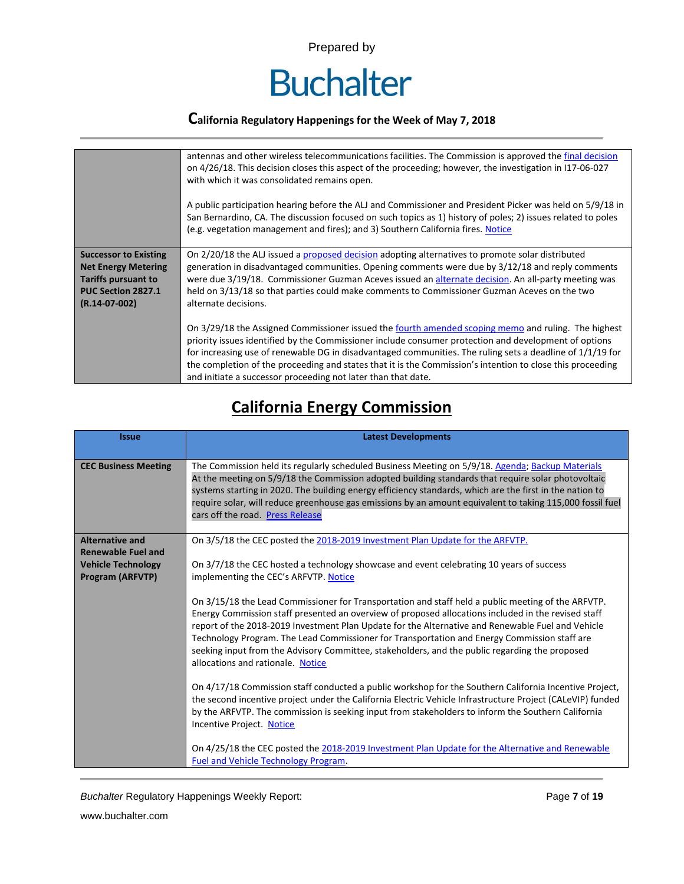

|                                                                                                                                   | antennas and other wireless telecommunications facilities. The Commission is approved the final decision<br>on 4/26/18. This decision closes this aspect of the proceeding; however, the investigation in 117-06-027<br>with which it was consolidated remains open.<br>A public participation hearing before the ALJ and Commissioner and President Picker was held on 5/9/18 in<br>San Bernardino, CA. The discussion focused on such topics as 1) history of poles; 2) issues related to poles<br>(e.g. vegetation management and fires); and 3) Southern California fires. Notice |
|-----------------------------------------------------------------------------------------------------------------------------------|---------------------------------------------------------------------------------------------------------------------------------------------------------------------------------------------------------------------------------------------------------------------------------------------------------------------------------------------------------------------------------------------------------------------------------------------------------------------------------------------------------------------------------------------------------------------------------------|
| <b>Successor to Existing</b><br><b>Net Energy Metering</b><br><b>Tariffs pursuant to</b><br>PUC Section 2827.1<br>$(R.14-07-002)$ | On 2/20/18 the ALJ issued a proposed decision adopting alternatives to promote solar distributed<br>generation in disadvantaged communities. Opening comments were due by 3/12/18 and reply comments<br>were due 3/19/18. Commissioner Guzman Aceves issued an alternate decision. An all-party meeting was<br>held on 3/13/18 so that parties could make comments to Commissioner Guzman Aceves on the two<br>alternate decisions.                                                                                                                                                   |
|                                                                                                                                   | On 3/29/18 the Assigned Commissioner issued the fourth amended scoping memo and ruling. The highest<br>priority issues identified by the Commissioner include consumer protection and development of options<br>for increasing use of renewable DG in disadvantaged communities. The ruling sets a deadline of $1/1/19$ for<br>the completion of the proceeding and states that it is the Commission's intention to close this proceeding<br>and initiate a successor proceeding not later than that date.                                                                            |

# **California Energy Commission**

| <b>Issue</b>                                                                                         | <b>Latest Developments</b>                                                                                                                                                                                                                                                                                                                                                                                                                                                                                                                                                                                                                                                                                                                                                                                                                                                                                                                                                                                                                                                                                                                                                                                                                                                                |
|------------------------------------------------------------------------------------------------------|-------------------------------------------------------------------------------------------------------------------------------------------------------------------------------------------------------------------------------------------------------------------------------------------------------------------------------------------------------------------------------------------------------------------------------------------------------------------------------------------------------------------------------------------------------------------------------------------------------------------------------------------------------------------------------------------------------------------------------------------------------------------------------------------------------------------------------------------------------------------------------------------------------------------------------------------------------------------------------------------------------------------------------------------------------------------------------------------------------------------------------------------------------------------------------------------------------------------------------------------------------------------------------------------|
| <b>CEC Business Meeting</b>                                                                          | The Commission held its regularly scheduled Business Meeting on 5/9/18. Agenda; Backup Materials<br>At the meeting on 5/9/18 the Commission adopted building standards that require solar photovoltaic<br>systems starting in 2020. The building energy efficiency standards, which are the first in the nation to<br>require solar, will reduce greenhouse gas emissions by an amount equivalent to taking 115,000 fossil fuel<br>cars off the road. Press Release                                                                                                                                                                                                                                                                                                                                                                                                                                                                                                                                                                                                                                                                                                                                                                                                                       |
| <b>Alternative and</b><br><b>Renewable Fuel and</b><br><b>Vehicle Technology</b><br>Program (ARFVTP) | On 3/5/18 the CEC posted the 2018-2019 Investment Plan Update for the ARFVTP.<br>On 3/7/18 the CEC hosted a technology showcase and event celebrating 10 years of success<br>implementing the CEC's ARFVTP. Notice<br>On 3/15/18 the Lead Commissioner for Transportation and staff held a public meeting of the ARFVTP.<br>Energy Commission staff presented an overview of proposed allocations included in the revised staff<br>report of the 2018-2019 Investment Plan Update for the Alternative and Renewable Fuel and Vehicle<br>Technology Program. The Lead Commissioner for Transportation and Energy Commission staff are<br>seeking input from the Advisory Committee, stakeholders, and the public regarding the proposed<br>allocations and rationale. Notice<br>On 4/17/18 Commission staff conducted a public workshop for the Southern California Incentive Project,<br>the second incentive project under the California Electric Vehicle Infrastructure Project (CALeVIP) funded<br>by the ARFVTP. The commission is seeking input from stakeholders to inform the Southern California<br>Incentive Project. Notice<br>On 4/25/18 the CEC posted the 2018-2019 Investment Plan Update for the Alternative and Renewable<br><b>Fuel and Vehicle Technology Program.</b> |

**Buchalter Regulatory Happenings Weekly Report:** Page 7 of 19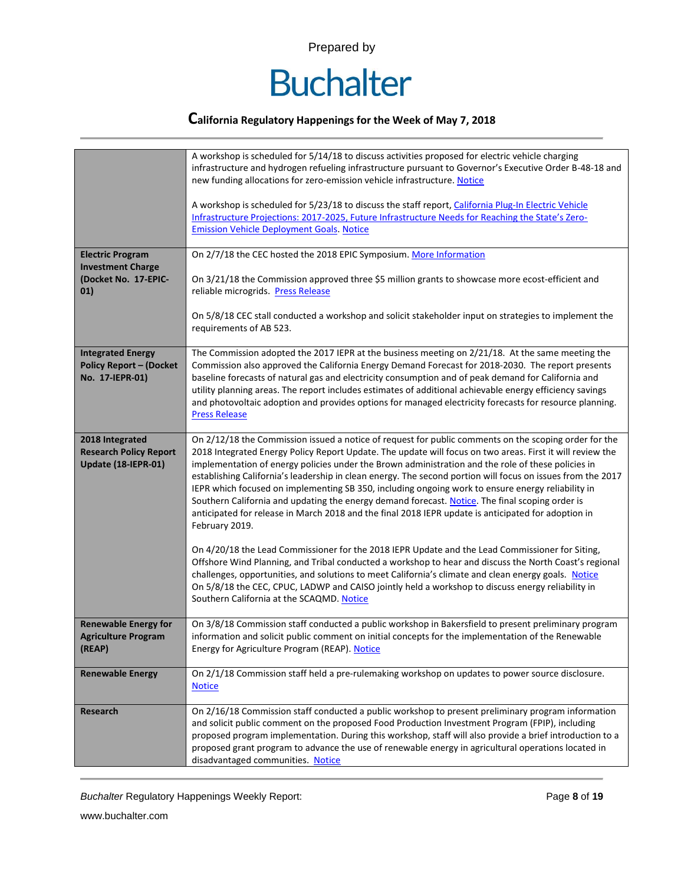

| <b>Electric Program</b><br><b>Investment Charge</b><br>(Docket No. 17-EPIC-<br>01) | A workshop is scheduled for 5/14/18 to discuss activities proposed for electric vehicle charging<br>infrastructure and hydrogen refueling infrastructure pursuant to Governor's Executive Order B-48-18 and<br>new funding allocations for zero-emission vehicle infrastructure. Notice<br>A workshop is scheduled for 5/23/18 to discuss the staff report, California Plug-In Electric Vehicle<br>Infrastructure Projections: 2017-2025, Future Infrastructure Needs for Reaching the State's Zero-<br><b>Emission Vehicle Deployment Goals. Notice</b><br>On 2/7/18 the CEC hosted the 2018 EPIC Symposium. More Information<br>On 3/21/18 the Commission approved three \$5 million grants to showcase more ecost-efficient and<br>reliable microgrids. Press Release<br>On 5/8/18 CEC stall conducted a workshop and solicit stakeholder input on strategies to implement the<br>requirements of AB 523. |
|------------------------------------------------------------------------------------|--------------------------------------------------------------------------------------------------------------------------------------------------------------------------------------------------------------------------------------------------------------------------------------------------------------------------------------------------------------------------------------------------------------------------------------------------------------------------------------------------------------------------------------------------------------------------------------------------------------------------------------------------------------------------------------------------------------------------------------------------------------------------------------------------------------------------------------------------------------------------------------------------------------|
|                                                                                    |                                                                                                                                                                                                                                                                                                                                                                                                                                                                                                                                                                                                                                                                                                                                                                                                                                                                                                              |
| <b>Integrated Energy</b><br><b>Policy Report - (Docket</b><br>No. 17-IEPR-01)      | The Commission adopted the 2017 IEPR at the business meeting on 2/21/18. At the same meeting the<br>Commission also approved the California Energy Demand Forecast for 2018-2030. The report presents<br>baseline forecasts of natural gas and electricity consumption and of peak demand for California and<br>utility planning areas. The report includes estimates of additional achievable energy efficiency savings<br>and photovoltaic adoption and provides options for managed electricity forecasts for resource planning.<br><b>Press Release</b>                                                                                                                                                                                                                                                                                                                                                  |
| 2018 Integrated<br><b>Research Policy Report</b><br>Update (18-IEPR-01)            | On 2/12/18 the Commission issued a notice of request for public comments on the scoping order for the<br>2018 Integrated Energy Policy Report Update. The update will focus on two areas. First it will review the<br>implementation of energy policies under the Brown administration and the role of these policies in<br>establishing California's leadership in clean energy. The second portion will focus on issues from the 2017<br>IEPR which focused on implementing SB 350, including ongoing work to ensure energy reliability in<br>Southern California and updating the energy demand forecast. Notice. The final scoping order is<br>anticipated for release in March 2018 and the final 2018 IEPR update is anticipated for adoption in<br>February 2019.                                                                                                                                     |
|                                                                                    | On 4/20/18 the Lead Commissioner for the 2018 IEPR Update and the Lead Commissioner for Siting,<br>Offshore Wind Planning, and Tribal conducted a workshop to hear and discuss the North Coast's regional<br>challenges, opportunities, and solutions to meet California's climate and clean energy goals. Notice<br>On 5/8/18 the CEC, CPUC, LADWP and CAISO jointly held a workshop to discuss energy reliability in<br>Southern California at the SCAQMD. Notice                                                                                                                                                                                                                                                                                                                                                                                                                                          |
| <b>Renewable Energy for</b><br><b>Agriculture Program</b><br>(REAP)                | On 3/8/18 Commission staff conducted a public workshop in Bakersfield to present preliminary program<br>information and solicit public comment on initial concepts for the implementation of the Renewable<br>Energy for Agriculture Program (REAP). Notice                                                                                                                                                                                                                                                                                                                                                                                                                                                                                                                                                                                                                                                  |
| <b>Renewable Energy</b>                                                            | On 2/1/18 Commission staff held a pre-rulemaking workshop on updates to power source disclosure.<br><b>Notice</b>                                                                                                                                                                                                                                                                                                                                                                                                                                                                                                                                                                                                                                                                                                                                                                                            |
| <b>Research</b>                                                                    | On 2/16/18 Commission staff conducted a public workshop to present preliminary program information<br>and solicit public comment on the proposed Food Production Investment Program (FPIP), including<br>proposed program implementation. During this workshop, staff will also provide a brief introduction to a<br>proposed grant program to advance the use of renewable energy in agricultural operations located in<br>disadvantaged communities. Notice                                                                                                                                                                                                                                                                                                                                                                                                                                                |

**Buchalter Regulatory Happenings Weekly Report:** Page 8 of 19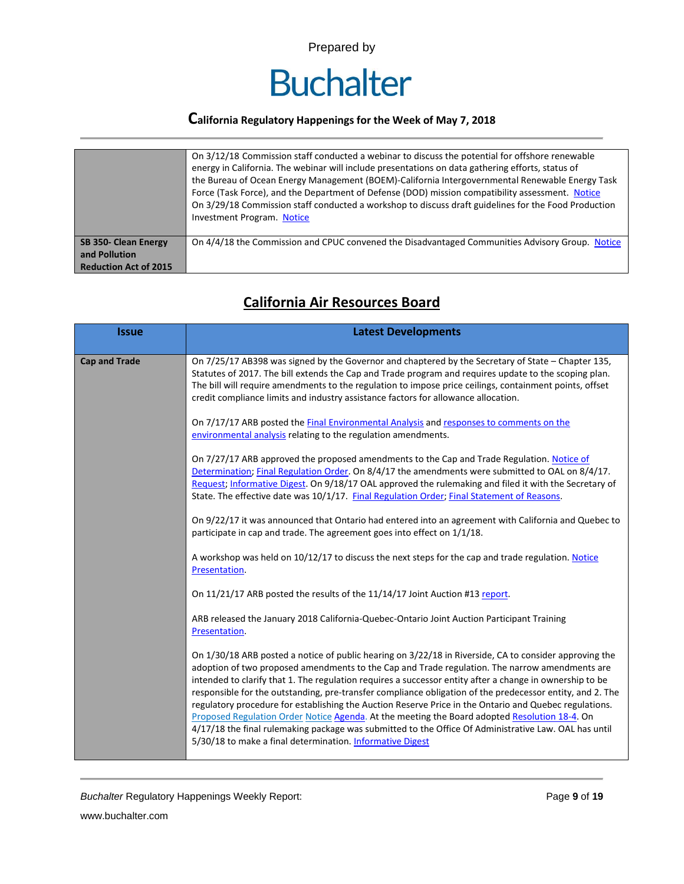

|                                                                              | On 3/12/18 Commission staff conducted a webinar to discuss the potential for offshore renewable<br>energy in California. The webinar will include presentations on data gathering efforts, status of<br>the Bureau of Ocean Energy Management (BOEM)-California Intergovernmental Renewable Energy Task<br>Force (Task Force), and the Department of Defense (DOD) mission compatibility assessment. Notice<br>On 3/29/18 Commission staff conducted a workshop to discuss draft guidelines for the Food Production<br><b>Investment Program. Notice</b> |
|------------------------------------------------------------------------------|----------------------------------------------------------------------------------------------------------------------------------------------------------------------------------------------------------------------------------------------------------------------------------------------------------------------------------------------------------------------------------------------------------------------------------------------------------------------------------------------------------------------------------------------------------|
| <b>SB 350- Clean Energy</b><br>and Pollution<br><b>Reduction Act of 2015</b> | On 4/4/18 the Commission and CPUC convened the Disadvantaged Communities Advisory Group. Notice                                                                                                                                                                                                                                                                                                                                                                                                                                                          |

| <b>Issue</b>         | <b>Latest Developments</b>                                                                                                                                                                                                                                                                                                                                                                                                                                                                                                                                                                                                                                                                                                                                                                                         |
|----------------------|--------------------------------------------------------------------------------------------------------------------------------------------------------------------------------------------------------------------------------------------------------------------------------------------------------------------------------------------------------------------------------------------------------------------------------------------------------------------------------------------------------------------------------------------------------------------------------------------------------------------------------------------------------------------------------------------------------------------------------------------------------------------------------------------------------------------|
| <b>Cap and Trade</b> | On 7/25/17 AB398 was signed by the Governor and chaptered by the Secretary of State - Chapter 135,<br>Statutes of 2017. The bill extends the Cap and Trade program and requires update to the scoping plan.<br>The bill will require amendments to the regulation to impose price ceilings, containment points, offset<br>credit compliance limits and industry assistance factors for allowance allocation.                                                                                                                                                                                                                                                                                                                                                                                                       |
|                      | On 7/17/17 ARB posted the Final Environmental Analysis and responses to comments on the<br>environmental analysis relating to the regulation amendments.                                                                                                                                                                                                                                                                                                                                                                                                                                                                                                                                                                                                                                                           |
|                      | On 7/27/17 ARB approved the proposed amendments to the Cap and Trade Regulation. Notice of<br>Determination; Final Regulation Order. On 8/4/17 the amendments were submitted to OAL on 8/4/17.<br>Request; Informative Digest. On 9/18/17 OAL approved the rulemaking and filed it with the Secretary of<br>State. The effective date was 10/1/17. Final Regulation Order; Final Statement of Reasons.                                                                                                                                                                                                                                                                                                                                                                                                             |
|                      | On 9/22/17 it was announced that Ontario had entered into an agreement with California and Quebec to<br>participate in cap and trade. The agreement goes into effect on 1/1/18.                                                                                                                                                                                                                                                                                                                                                                                                                                                                                                                                                                                                                                    |
|                      | A workshop was held on 10/12/17 to discuss the next steps for the cap and trade regulation. Notice<br>Presentation.                                                                                                                                                                                                                                                                                                                                                                                                                                                                                                                                                                                                                                                                                                |
|                      | On 11/21/17 ARB posted the results of the 11/14/17 Joint Auction #13 report.                                                                                                                                                                                                                                                                                                                                                                                                                                                                                                                                                                                                                                                                                                                                       |
|                      | ARB released the January 2018 California-Quebec-Ontario Joint Auction Participant Training<br>Presentation.                                                                                                                                                                                                                                                                                                                                                                                                                                                                                                                                                                                                                                                                                                        |
|                      | On 1/30/18 ARB posted a notice of public hearing on 3/22/18 in Riverside, CA to consider approving the<br>adoption of two proposed amendments to the Cap and Trade regulation. The narrow amendments are<br>intended to clarify that 1. The regulation requires a successor entity after a change in ownership to be<br>responsible for the outstanding, pre-transfer compliance obligation of the predecessor entity, and 2. The<br>regulatory procedure for establishing the Auction Reserve Price in the Ontario and Quebec regulations.<br>Proposed Regulation Order Notice Agenda. At the meeting the Board adopted Resolution 18-4. On<br>4/17/18 the final rulemaking package was submitted to the Office Of Administrative Law. OAL has until<br>5/30/18 to make a final determination. Informative Digest |

# **California Air Resources Board**

**Buchalter Regulatory Happenings Weekly Report:** Page 9 of 19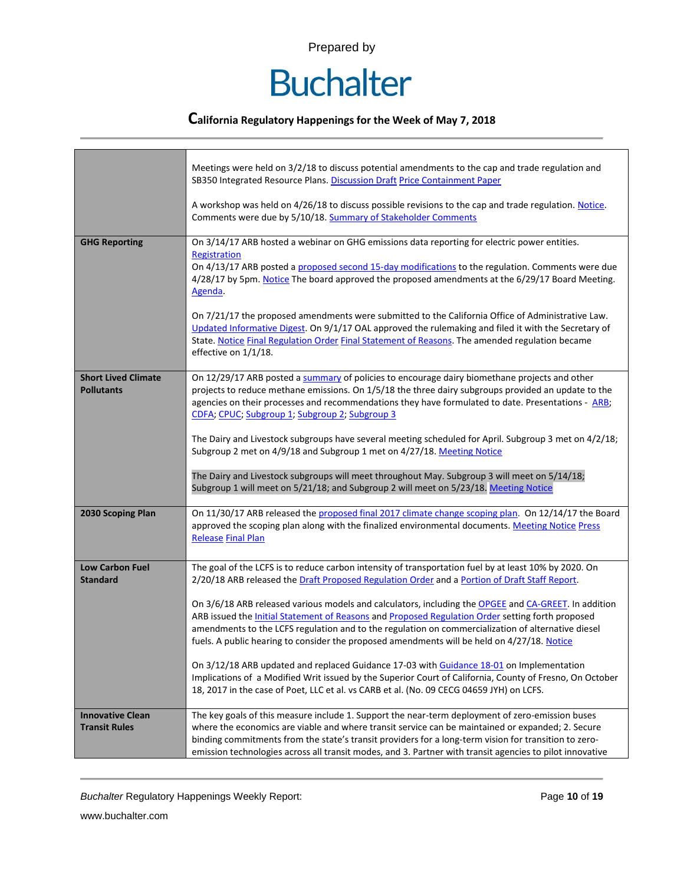

### **California Regulatory Happenings for the Week of May 7, 2018**

|                                                 | Meetings were held on 3/2/18 to discuss potential amendments to the cap and trade regulation and<br>SB350 Integrated Resource Plans. Discussion Draft Price Containment Paper<br>A workshop was held on 4/26/18 to discuss possible revisions to the cap and trade regulation. Notice.<br>Comments were due by 5/10/18. Summary of Stakeholder Comments                                                                                                                                                                                                                                                                                        |
|-------------------------------------------------|------------------------------------------------------------------------------------------------------------------------------------------------------------------------------------------------------------------------------------------------------------------------------------------------------------------------------------------------------------------------------------------------------------------------------------------------------------------------------------------------------------------------------------------------------------------------------------------------------------------------------------------------|
| <b>GHG Reporting</b>                            | On 3/14/17 ARB hosted a webinar on GHG emissions data reporting for electric power entities.<br>Registration<br>On 4/13/17 ARB posted a proposed second 15-day modifications to the regulation. Comments were due<br>4/28/17 by 5pm. Notice The board approved the proposed amendments at the 6/29/17 Board Meeting.<br>Agenda.<br>On 7/21/17 the proposed amendments were submitted to the California Office of Administrative Law.<br>Updated Informative Digest. On 9/1/17 OAL approved the rulemaking and filed it with the Secretary of<br>State. Notice Final Regulation Order Final Statement of Reasons. The amended regulation became |
|                                                 | effective on 1/1/18.                                                                                                                                                                                                                                                                                                                                                                                                                                                                                                                                                                                                                           |
| <b>Short Lived Climate</b><br><b>Pollutants</b> | On 12/29/17 ARB posted a summary of policies to encourage dairy biomethane projects and other<br>projects to reduce methane emissions. On 1/5/18 the three dairy subgroups provided an update to the<br>agencies on their processes and recommendations they have formulated to date. Presentations - ARB;<br>CDFA; CPUC; Subgroup 1; Subgroup 2; Subgroup 3                                                                                                                                                                                                                                                                                   |
|                                                 | The Dairy and Livestock subgroups have several meeting scheduled for April. Subgroup 3 met on 4/2/18;<br>Subgroup 2 met on 4/9/18 and Subgroup 1 met on 4/27/18. Meeting Notice                                                                                                                                                                                                                                                                                                                                                                                                                                                                |
|                                                 | The Dairy and Livestock subgroups will meet throughout May. Subgroup 3 will meet on 5/14/18;<br>Subgroup 1 will meet on 5/21/18; and Subgroup 2 will meet on 5/23/18. Meeting Notice                                                                                                                                                                                                                                                                                                                                                                                                                                                           |
| 2030 Scoping Plan                               | On 11/30/17 ARB released the proposed final 2017 climate change scoping plan. On 12/14/17 the Board<br>approved the scoping plan along with the finalized environmental documents. Meeting Notice Press<br><b>Release Final Plan</b>                                                                                                                                                                                                                                                                                                                                                                                                           |
| <b>Low Carbon Fuel</b>                          | The goal of the LCFS is to reduce carbon intensity of transportation fuel by at least 10% by 2020. On                                                                                                                                                                                                                                                                                                                                                                                                                                                                                                                                          |
| <b>Standard</b>                                 | 2/20/18 ARB released the Draft Proposed Regulation Order and a Portion of Draft Staff Report.                                                                                                                                                                                                                                                                                                                                                                                                                                                                                                                                                  |
|                                                 | On 3/6/18 ARB released various models and calculators, including the OPGEE and CA-GREET. In addition                                                                                                                                                                                                                                                                                                                                                                                                                                                                                                                                           |
|                                                 | ARB issued the <b>Initial Statement of Reasons and Proposed Regulation Order setting forth proposed</b><br>amendments to the LCFS regulation and to the regulation on commercialization of alternative diesel                                                                                                                                                                                                                                                                                                                                                                                                                                  |
|                                                 | fuels. A public hearing to consider the proposed amendments will be held on 4/27/18. Notice                                                                                                                                                                                                                                                                                                                                                                                                                                                                                                                                                    |
|                                                 | On 3/12/18 ARB updated and replaced Guidance 17-03 with Guidance 18-01 on Implementation<br>Implications of a Modified Writ issued by the Superior Court of California, County of Fresno, On October<br>18, 2017 in the case of Poet, LLC et al. vs CARB et al. (No. 09 CECG 04659 JYH) on LCFS.                                                                                                                                                                                                                                                                                                                                               |
| <b>Innovative Clean</b>                         | The key goals of this measure include 1. Support the near-term deployment of zero-emission buses                                                                                                                                                                                                                                                                                                                                                                                                                                                                                                                                               |
| <b>Transit Rules</b>                            | where the economics are viable and where transit service can be maintained or expanded; 2. Secure<br>binding commitments from the state's transit providers for a long-term vision for transition to zero-<br>emission technologies across all transit modes, and 3. Partner with transit agencies to pilot innovative                                                                                                                                                                                                                                                                                                                         |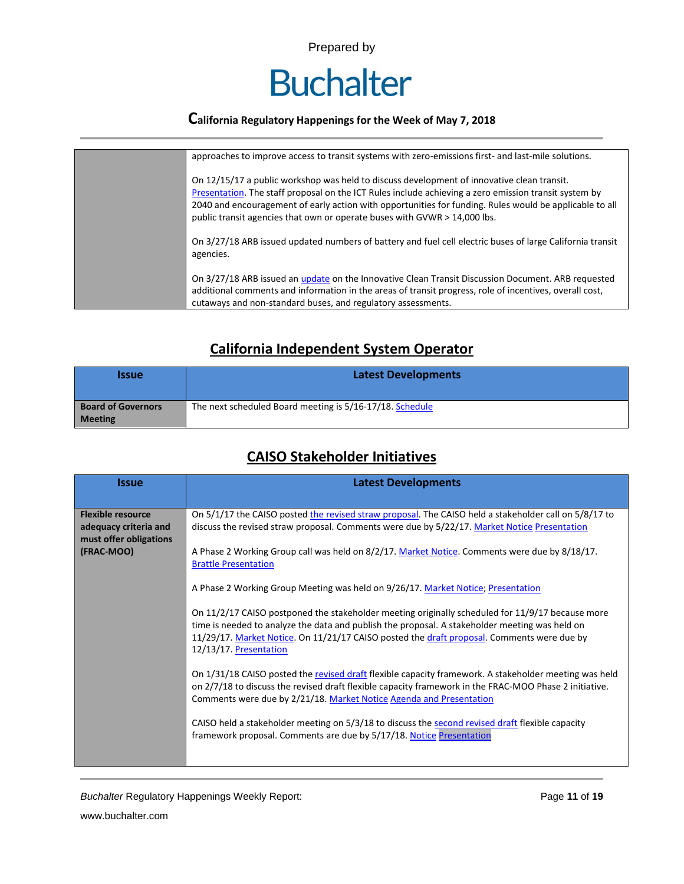

| approaches to improve access to transit systems with zero-emissions first- and last-mile solutions.                                                                                                                                                                                                                                                                                         |
|---------------------------------------------------------------------------------------------------------------------------------------------------------------------------------------------------------------------------------------------------------------------------------------------------------------------------------------------------------------------------------------------|
| On 12/15/17 a public workshop was held to discuss development of innovative clean transit.<br>Presentation. The staff proposal on the ICT Rules include achieving a zero emission transit system by<br>2040 and encouragement of early action with opportunities for funding. Rules would be applicable to all<br>public transit agencies that own or operate buses with GVWR > 14,000 lbs. |
| On 3/27/18 ARB issued updated numbers of battery and fuel cell electric buses of large California transit<br>agencies.                                                                                                                                                                                                                                                                      |
| On 3/27/18 ARB issued an <i>update</i> on the Innovative Clean Transit Discussion Document. ARB requested<br>additional comments and information in the areas of transit progress, role of incentives, overall cost,<br>cutaways and non-standard buses, and regulatory assessments.                                                                                                        |

# **California Independent System Operator**

| <b>Issue</b>                                | <b>Latest Developments</b>                               |
|---------------------------------------------|----------------------------------------------------------|
| <b>Board of Governors</b><br><b>Meeting</b> | The next scheduled Board meeting is 5/16-17/18. Schedule |

# **CAISO Stakeholder Initiatives**

| <b>Issue</b>                                                                              | <b>Latest Developments</b>                                                                                                                                                                                                                                                                                                                                                                                                                                                                                                                                                                                                                                                                                                                                                                                                                                                                                                                                                                                                                                                                                                                                                                                                    |  |  |  |  |
|-------------------------------------------------------------------------------------------|-------------------------------------------------------------------------------------------------------------------------------------------------------------------------------------------------------------------------------------------------------------------------------------------------------------------------------------------------------------------------------------------------------------------------------------------------------------------------------------------------------------------------------------------------------------------------------------------------------------------------------------------------------------------------------------------------------------------------------------------------------------------------------------------------------------------------------------------------------------------------------------------------------------------------------------------------------------------------------------------------------------------------------------------------------------------------------------------------------------------------------------------------------------------------------------------------------------------------------|--|--|--|--|
| <b>Flexible resource</b><br>adequacy criteria and<br>must offer obligations<br>(FRAC-MOO) | On 5/1/17 the CAISO posted the revised straw proposal. The CAISO held a stakeholder call on 5/8/17 to<br>discuss the revised straw proposal. Comments were due by 5/22/17. Market Notice Presentation<br>A Phase 2 Working Group call was held on 8/2/17. Market Notice. Comments were due by 8/18/17.<br><b>Brattle Presentation</b><br>A Phase 2 Working Group Meeting was held on 9/26/17. Market Notice; Presentation<br>On 11/2/17 CAISO postponed the stakeholder meeting originally scheduled for 11/9/17 because more<br>time is needed to analyze the data and publish the proposal. A stakeholder meeting was held on<br>11/29/17. Market Notice. On 11/21/17 CAISO posted the draft proposal. Comments were due by<br>12/13/17. Presentation<br>On 1/31/18 CAISO posted the revised draft flexible capacity framework. A stakeholder meeting was held<br>on 2/7/18 to discuss the revised draft flexible capacity framework in the FRAC-MOO Phase 2 initiative.<br>Comments were due by 2/21/18. Market Notice Agenda and Presentation<br>CAISO held a stakeholder meeting on 5/3/18 to discuss the second revised draft flexible capacity<br>framework proposal. Comments are due by 5/17/18. Notice Presentation |  |  |  |  |

**Buchalter Regulatory Happenings Weekly Report:** Page 11 of 19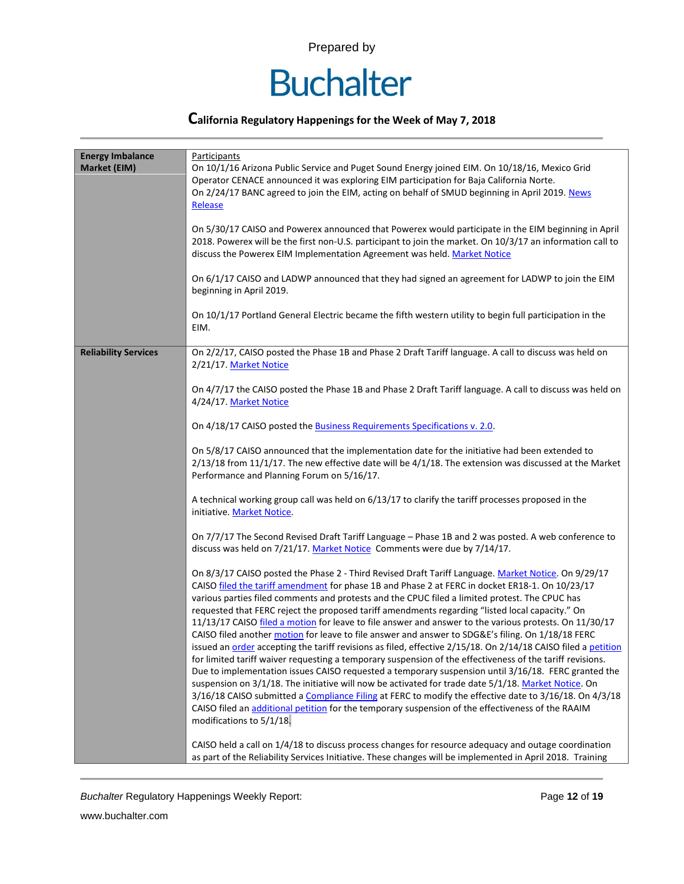

### **California Regulatory Happenings for the Week of May 7, 2018**

| <b>Energy Imbalance</b><br>Market (EIM) | Participants<br>On 10/1/16 Arizona Public Service and Puget Sound Energy joined EIM. On 10/18/16, Mexico Grid<br>Operator CENACE announced it was exploring EIM participation for Baja California Norte.<br>On 2/24/17 BANC agreed to join the EIM, acting on behalf of SMUD beginning in April 2019. News<br>Release<br>On 5/30/17 CAISO and Powerex announced that Powerex would participate in the EIM beginning in April<br>2018. Powerex will be the first non-U.S. participant to join the market. On 10/3/17 an information call to<br>discuss the Powerex EIM Implementation Agreement was held. Market Notice<br>On 6/1/17 CAISO and LADWP announced that they had signed an agreement for LADWP to join the EIM<br>beginning in April 2019.<br>On 10/1/17 Portland General Electric became the fifth western utility to begin full participation in the<br>EIM.                                                                                                                                                                                                                                                                                                                                                                                                                                                                                                                                                                                                                                                                                                                                                                                                                                                                                                                                                                                                                                                                                                                                                                                                                                                                                                                                                                                            |  |  |  |
|-----------------------------------------|----------------------------------------------------------------------------------------------------------------------------------------------------------------------------------------------------------------------------------------------------------------------------------------------------------------------------------------------------------------------------------------------------------------------------------------------------------------------------------------------------------------------------------------------------------------------------------------------------------------------------------------------------------------------------------------------------------------------------------------------------------------------------------------------------------------------------------------------------------------------------------------------------------------------------------------------------------------------------------------------------------------------------------------------------------------------------------------------------------------------------------------------------------------------------------------------------------------------------------------------------------------------------------------------------------------------------------------------------------------------------------------------------------------------------------------------------------------------------------------------------------------------------------------------------------------------------------------------------------------------------------------------------------------------------------------------------------------------------------------------------------------------------------------------------------------------------------------------------------------------------------------------------------------------------------------------------------------------------------------------------------------------------------------------------------------------------------------------------------------------------------------------------------------------------------------------------------------------------------------------------------------------|--|--|--|
| <b>Reliability Services</b>             | On 2/2/17, CAISO posted the Phase 1B and Phase 2 Draft Tariff language. A call to discuss was held on<br>2/21/17. Market Notice<br>On 4/7/17 the CAISO posted the Phase 1B and Phase 2 Draft Tariff language. A call to discuss was held on<br>4/24/17. Market Notice<br>On 4/18/17 CAISO posted the <b>Business Requirements Specifications v. 2.0</b> .<br>On 5/8/17 CAISO announced that the implementation date for the initiative had been extended to<br>$2/13/18$ from 11/1/17. The new effective date will be $4/1/18$ . The extension was discussed at the Market<br>Performance and Planning Forum on 5/16/17.<br>A technical working group call was held on 6/13/17 to clarify the tariff processes proposed in the<br>initiative. Market Notice.<br>On 7/7/17 The Second Revised Draft Tariff Language - Phase 1B and 2 was posted. A web conference to<br>discuss was held on 7/21/17. Market Notice Comments were due by 7/14/17.<br>On 8/3/17 CAISO posted the Phase 2 - Third Revised Draft Tariff Language. Market Notice. On 9/29/17<br>CAISO filed the tariff amendment for phase 1B and Phase 2 at FERC in docket ER18-1. On 10/23/17<br>various parties filed comments and protests and the CPUC filed a limited protest. The CPUC has<br>requested that FERC reject the proposed tariff amendments regarding "listed local capacity." On<br>11/13/17 CAISO filed a motion for leave to file answer and answer to the various protests. On 11/30/17<br>CAISO filed another motion for leave to file answer and answer to SDG&E's filing. On 1/18/18 FERC<br>issued an order accepting the tariff revisions as filed, effective 2/15/18. On 2/14/18 CAISO filed a petition<br>for limited tariff waiver requesting a temporary suspension of the effectiveness of the tariff revisions.<br>Due to implementation issues CAISO requested a temporary suspension until 3/16/18. FERC granted the<br>suspension on 3/1/18. The initiative will now be activated for trade date 5/1/18. Market Notice. On<br>3/16/18 CAISO submitted a Compliance Filing at FERC to modify the effective date to 3/16/18. On 4/3/18<br>CAISO filed an additional petition for the temporary suspension of the effectiveness of the RAAIM<br>modifications to 5/1/18. |  |  |  |
|                                         | CAISO held a call on 1/4/18 to discuss process changes for resource adequacy and outage coordination<br>as part of the Reliability Services Initiative. These changes will be implemented in April 2018. Training                                                                                                                                                                                                                                                                                                                                                                                                                                                                                                                                                                                                                                                                                                                                                                                                                                                                                                                                                                                                                                                                                                                                                                                                                                                                                                                                                                                                                                                                                                                                                                                                                                                                                                                                                                                                                                                                                                                                                                                                                                                    |  |  |  |

**Buchalter Regulatory Happenings Weekly Report:** Page 12 of 19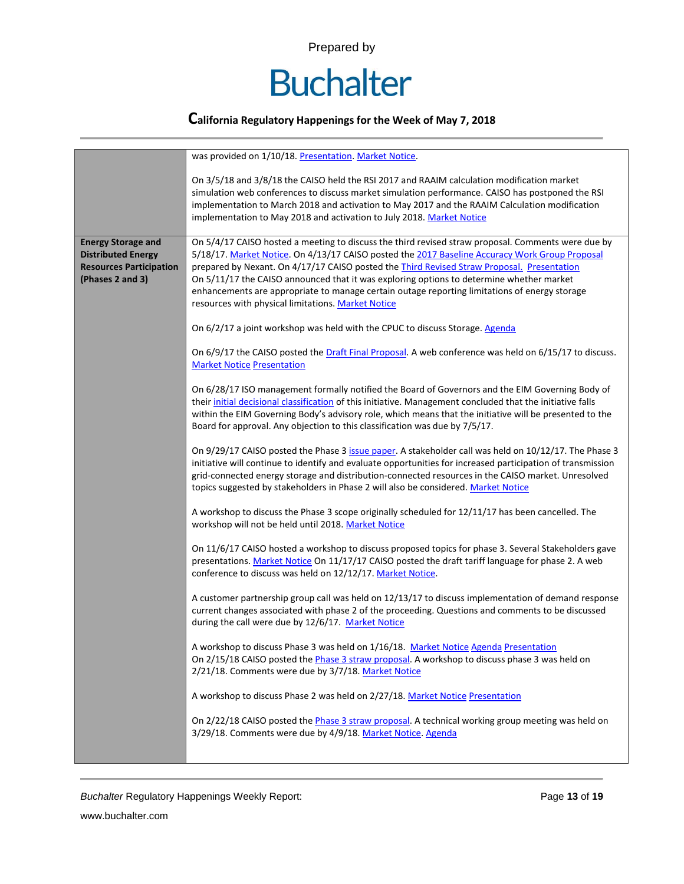

|                                                                                                              | was provided on 1/10/18. Presentation. Market Notice.                                                                                                                                                                                                                                                                                                                                                                                                                                                                                                 |  |  |  |  |  |
|--------------------------------------------------------------------------------------------------------------|-------------------------------------------------------------------------------------------------------------------------------------------------------------------------------------------------------------------------------------------------------------------------------------------------------------------------------------------------------------------------------------------------------------------------------------------------------------------------------------------------------------------------------------------------------|--|--|--|--|--|
|                                                                                                              | On 3/5/18 and 3/8/18 the CAISO held the RSI 2017 and RAAIM calculation modification market<br>simulation web conferences to discuss market simulation performance. CAISO has postponed the RSI<br>implementation to March 2018 and activation to May 2017 and the RAAIM Calculation modification<br>implementation to May 2018 and activation to July 2018. Market Notice                                                                                                                                                                             |  |  |  |  |  |
| <b>Energy Storage and</b><br><b>Distributed Energy</b><br><b>Resources Participation</b><br>(Phases 2 and 3) | On 5/4/17 CAISO hosted a meeting to discuss the third revised straw proposal. Comments were due by<br>5/18/17. Market Notice. On 4/13/17 CAISO posted the 2017 Baseline Accuracy Work Group Proposal<br>prepared by Nexant. On 4/17/17 CAISO posted the Third Revised Straw Proposal. Presentation<br>On 5/11/17 the CAISO announced that it was exploring options to determine whether market<br>enhancements are appropriate to manage certain outage reporting limitations of energy storage<br>resources with physical limitations. Market Notice |  |  |  |  |  |
|                                                                                                              | On 6/2/17 a joint workshop was held with the CPUC to discuss Storage. Agenda                                                                                                                                                                                                                                                                                                                                                                                                                                                                          |  |  |  |  |  |
|                                                                                                              | On 6/9/17 the CAISO posted the Draft Final Proposal. A web conference was held on 6/15/17 to discuss.<br><b>Market Notice Presentation</b>                                                                                                                                                                                                                                                                                                                                                                                                            |  |  |  |  |  |
|                                                                                                              | On 6/28/17 ISO management formally notified the Board of Governors and the EIM Governing Body of<br>their initial decisional classification of this initiative. Management concluded that the initiative falls<br>within the EIM Governing Body's advisory role, which means that the initiative will be presented to the<br>Board for approval. Any objection to this classification was due by 7/5/17.                                                                                                                                              |  |  |  |  |  |
|                                                                                                              | On 9/29/17 CAISO posted the Phase 3 issue paper. A stakeholder call was held on 10/12/17. The Phase 3<br>initiative will continue to identify and evaluate opportunities for increased participation of transmission<br>grid-connected energy storage and distribution-connected resources in the CAISO market. Unresolved<br>topics suggested by stakeholders in Phase 2 will also be considered. Market Notice                                                                                                                                      |  |  |  |  |  |
|                                                                                                              | A workshop to discuss the Phase 3 scope originally scheduled for 12/11/17 has been cancelled. The<br>workshop will not be held until 2018. Market Notice                                                                                                                                                                                                                                                                                                                                                                                              |  |  |  |  |  |
|                                                                                                              | On 11/6/17 CAISO hosted a workshop to discuss proposed topics for phase 3. Several Stakeholders gave<br>presentations. Market Notice On 11/17/17 CAISO posted the draft tariff language for phase 2. A web<br>conference to discuss was held on 12/12/17. Market Notice.                                                                                                                                                                                                                                                                              |  |  |  |  |  |
|                                                                                                              | A customer partnership group call was held on 12/13/17 to discuss implementation of demand response<br>current changes associated with phase 2 of the proceeding. Questions and comments to be discussed<br>during the call were due by 12/6/17. Market Notice                                                                                                                                                                                                                                                                                        |  |  |  |  |  |
|                                                                                                              | A workshop to discuss Phase 3 was held on 1/16/18. Market Notice Agenda Presentation<br>On 2/15/18 CAISO posted the Phase 3 straw proposal. A workshop to discuss phase 3 was held on<br>2/21/18. Comments were due by 3/7/18. Market Notice                                                                                                                                                                                                                                                                                                          |  |  |  |  |  |
|                                                                                                              | A workshop to discuss Phase 2 was held on 2/27/18. Market Notice Presentation                                                                                                                                                                                                                                                                                                                                                                                                                                                                         |  |  |  |  |  |
|                                                                                                              | On 2/22/18 CAISO posted the Phase 3 straw proposal. A technical working group meeting was held on<br>3/29/18. Comments were due by 4/9/18. Market Notice. Agenda                                                                                                                                                                                                                                                                                                                                                                                      |  |  |  |  |  |
|                                                                                                              |                                                                                                                                                                                                                                                                                                                                                                                                                                                                                                                                                       |  |  |  |  |  |

**Buchalter Regulatory Happenings Weekly Report:** Page 13 of 19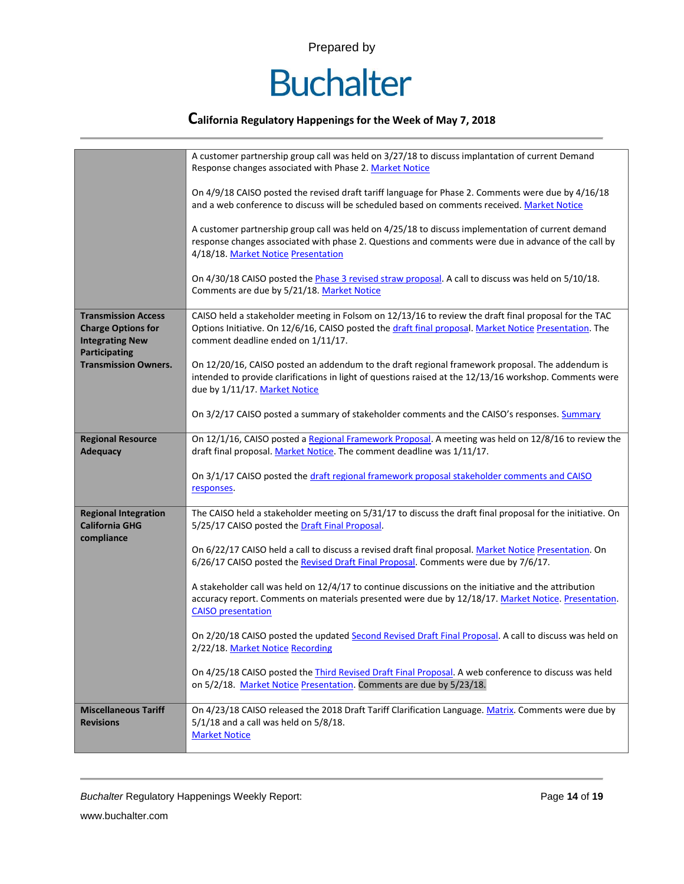

### **California Regulatory Happenings for the Week of May 7, 2018**

|                                                                                                                                          | A customer partnership group call was held on 3/27/18 to discuss implantation of current Demand<br>Response changes associated with Phase 2. Market Notice<br>On 4/9/18 CAISO posted the revised draft tariff language for Phase 2. Comments were due by 4/16/18<br>and a web conference to discuss will be scheduled based on comments received. Market Notice<br>A customer partnership group call was held on 4/25/18 to discuss implementation of current demand<br>response changes associated with phase 2. Questions and comments were due in advance of the call by<br>4/18/18. Market Notice Presentation<br>On 4/30/18 CAISO posted the Phase 3 revised straw proposal. A call to discuss was held on 5/10/18.<br>Comments are due by 5/21/18. Market Notice                                                                                                                                                                         |  |  |  |
|------------------------------------------------------------------------------------------------------------------------------------------|------------------------------------------------------------------------------------------------------------------------------------------------------------------------------------------------------------------------------------------------------------------------------------------------------------------------------------------------------------------------------------------------------------------------------------------------------------------------------------------------------------------------------------------------------------------------------------------------------------------------------------------------------------------------------------------------------------------------------------------------------------------------------------------------------------------------------------------------------------------------------------------------------------------------------------------------|--|--|--|
| <b>Transmission Access</b><br><b>Charge Options for</b><br><b>Integrating New</b><br><b>Participating</b><br><b>Transmission Owners.</b> | CAISO held a stakeholder meeting in Folsom on 12/13/16 to review the draft final proposal for the TAC<br>Options Initiative. On 12/6/16, CAISO posted the draft final proposal. Market Notice Presentation. The<br>comment deadline ended on 1/11/17.<br>On 12/20/16, CAISO posted an addendum to the draft regional framework proposal. The addendum is<br>intended to provide clarifications in light of questions raised at the 12/13/16 workshop. Comments were                                                                                                                                                                                                                                                                                                                                                                                                                                                                            |  |  |  |
|                                                                                                                                          | due by 1/11/17. Market Notice<br>On 3/2/17 CAISO posted a summary of stakeholder comments and the CAISO's responses. Summary                                                                                                                                                                                                                                                                                                                                                                                                                                                                                                                                                                                                                                                                                                                                                                                                                   |  |  |  |
| <b>Regional Resource</b><br><b>Adequacy</b>                                                                                              | On 12/1/16, CAISO posted a Regional Framework Proposal. A meeting was held on 12/8/16 to review the<br>draft final proposal. Market Notice. The comment deadline was 1/11/17.<br>On 3/1/17 CAISO posted the draft regional framework proposal stakeholder comments and CAISO<br>responses.                                                                                                                                                                                                                                                                                                                                                                                                                                                                                                                                                                                                                                                     |  |  |  |
| <b>Regional Integration</b><br><b>California GHG</b><br>compliance                                                                       | The CAISO held a stakeholder meeting on 5/31/17 to discuss the draft final proposal for the initiative. On<br>5/25/17 CAISO posted the Draft Final Proposal.<br>On 6/22/17 CAISO held a call to discuss a revised draft final proposal. Market Notice Presentation. On<br>6/26/17 CAISO posted the Revised Draft Final Proposal. Comments were due by 7/6/17.<br>A stakeholder call was held on 12/4/17 to continue discussions on the initiative and the attribution<br>accuracy report. Comments on materials presented were due by 12/18/17. Market Notice. Presentation.<br><b>CAISO</b> presentation<br>On 2/20/18 CAISO posted the updated Second Revised Draft Final Proposal. A call to discuss was held on<br>2/22/18. Market Notice Recording<br>On 4/25/18 CAISO posted the <i>Third Revised Draft Final Proposal</i> . A web conference to discuss was held<br>on 5/2/18. Market Notice Presentation. Comments are due by 5/23/18. |  |  |  |
| <b>Miscellaneous Tariff</b><br><b>Revisions</b>                                                                                          | On 4/23/18 CAISO released the 2018 Draft Tariff Clarification Language. Matrix. Comments were due by<br>$5/1/18$ and a call was held on $5/8/18$ .<br><b>Market Notice</b>                                                                                                                                                                                                                                                                                                                                                                                                                                                                                                                                                                                                                                                                                                                                                                     |  |  |  |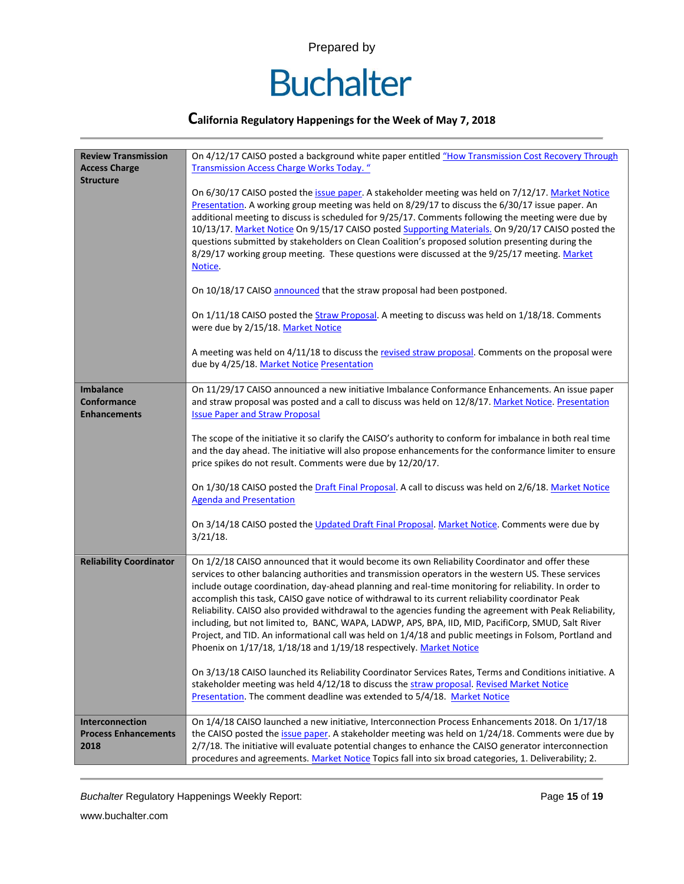

### **California Regulatory Happenings for the Week of May 7, 2018**

| <b>Review Transmission</b>                             | On 4/12/17 CAISO posted a background white paper entitled "How Transmission Cost Recovery Through                                                                                                                                                                                                                                                                                                                                                                                                                                                                                                                                                                                                                                                                                                                       |  |  |  |  |
|--------------------------------------------------------|-------------------------------------------------------------------------------------------------------------------------------------------------------------------------------------------------------------------------------------------------------------------------------------------------------------------------------------------------------------------------------------------------------------------------------------------------------------------------------------------------------------------------------------------------------------------------------------------------------------------------------------------------------------------------------------------------------------------------------------------------------------------------------------------------------------------------|--|--|--|--|
| <b>Access Charge</b><br><b>Structure</b>               | <b>Transmission Access Charge Works Today.</b> "                                                                                                                                                                                                                                                                                                                                                                                                                                                                                                                                                                                                                                                                                                                                                                        |  |  |  |  |
|                                                        | On 6/30/17 CAISO posted the issue paper. A stakeholder meeting was held on 7/12/17. Market Notice<br>Presentation. A working group meeting was held on 8/29/17 to discuss the 6/30/17 issue paper. An<br>additional meeting to discuss is scheduled for 9/25/17. Comments following the meeting were due by<br>10/13/17. Market Notice On 9/15/17 CAISO posted Supporting Materials. On 9/20/17 CAISO posted the<br>questions submitted by stakeholders on Clean Coalition's proposed solution presenting during the<br>8/29/17 working group meeting. These questions were discussed at the 9/25/17 meeting. Market<br>Notice.                                                                                                                                                                                         |  |  |  |  |
|                                                        | On 10/18/17 CAISO announced that the straw proposal had been postponed.                                                                                                                                                                                                                                                                                                                                                                                                                                                                                                                                                                                                                                                                                                                                                 |  |  |  |  |
|                                                        | On 1/11/18 CAISO posted the Straw Proposal. A meeting to discuss was held on 1/18/18. Comments<br>were due by 2/15/18. Market Notice                                                                                                                                                                                                                                                                                                                                                                                                                                                                                                                                                                                                                                                                                    |  |  |  |  |
|                                                        | A meeting was held on 4/11/18 to discuss the revised straw proposal. Comments on the proposal were<br>due by 4/25/18. Market Notice Presentation                                                                                                                                                                                                                                                                                                                                                                                                                                                                                                                                                                                                                                                                        |  |  |  |  |
| <b>Imbalance</b><br>Conformance<br><b>Enhancements</b> | On 11/29/17 CAISO announced a new initiative Imbalance Conformance Enhancements. An issue paper<br>and straw proposal was posted and a call to discuss was held on 12/8/17. Market Notice. Presentation<br><b>Issue Paper and Straw Proposal</b>                                                                                                                                                                                                                                                                                                                                                                                                                                                                                                                                                                        |  |  |  |  |
|                                                        | The scope of the initiative it so clarify the CAISO's authority to conform for imbalance in both real time<br>and the day ahead. The initiative will also propose enhancements for the conformance limiter to ensure<br>price spikes do not result. Comments were due by 12/20/17.                                                                                                                                                                                                                                                                                                                                                                                                                                                                                                                                      |  |  |  |  |
|                                                        | On 1/30/18 CAISO posted the Draft Final Proposal. A call to discuss was held on 2/6/18. Market Notice<br><b>Agenda and Presentation</b>                                                                                                                                                                                                                                                                                                                                                                                                                                                                                                                                                                                                                                                                                 |  |  |  |  |
|                                                        | On 3/14/18 CAISO posted the Updated Draft Final Proposal. Market Notice. Comments were due by<br>$3/21/18$ .                                                                                                                                                                                                                                                                                                                                                                                                                                                                                                                                                                                                                                                                                                            |  |  |  |  |
| <b>Reliability Coordinator</b>                         | On 1/2/18 CAISO announced that it would become its own Reliability Coordinator and offer these<br>services to other balancing authorities and transmission operators in the western US. These services<br>include outage coordination, day-ahead planning and real-time monitoring for reliability. In order to<br>accomplish this task, CAISO gave notice of withdrawal to its current reliability coordinator Peak<br>Reliability. CAISO also provided withdrawal to the agencies funding the agreement with Peak Reliability,<br>including, but not limited to, BANC, WAPA, LADWP, APS, BPA, IID, MID, PacifiCorp, SMUD, Salt River<br>Project, and TID. An informational call was held on 1/4/18 and public meetings in Folsom, Portland and<br>Phoenix on 1/17/18, 1/18/18 and 1/19/18 respectively. Market Notice |  |  |  |  |
|                                                        | On 3/13/18 CAISO launched its Reliability Coordinator Services Rates, Terms and Conditions initiative. A<br>stakeholder meeting was held 4/12/18 to discuss the straw proposal. Revised Market Notice<br>Presentation. The comment deadline was extended to 5/4/18. Market Notice                                                                                                                                                                                                                                                                                                                                                                                                                                                                                                                                       |  |  |  |  |
| Interconnection<br><b>Process Enhancements</b><br>2018 | On 1/4/18 CAISO launched a new initiative, Interconnection Process Enhancements 2018. On 1/17/18<br>the CAISO posted the issue paper. A stakeholder meeting was held on 1/24/18. Comments were due by<br>2/7/18. The initiative will evaluate potential changes to enhance the CAISO generator interconnection<br>procedures and agreements. Market Notice Topics fall into six broad categories, 1. Deliverability; 2.                                                                                                                                                                                                                                                                                                                                                                                                 |  |  |  |  |

**Buchalter Regulatory Happenings Weekly Report:** Page 15 of 19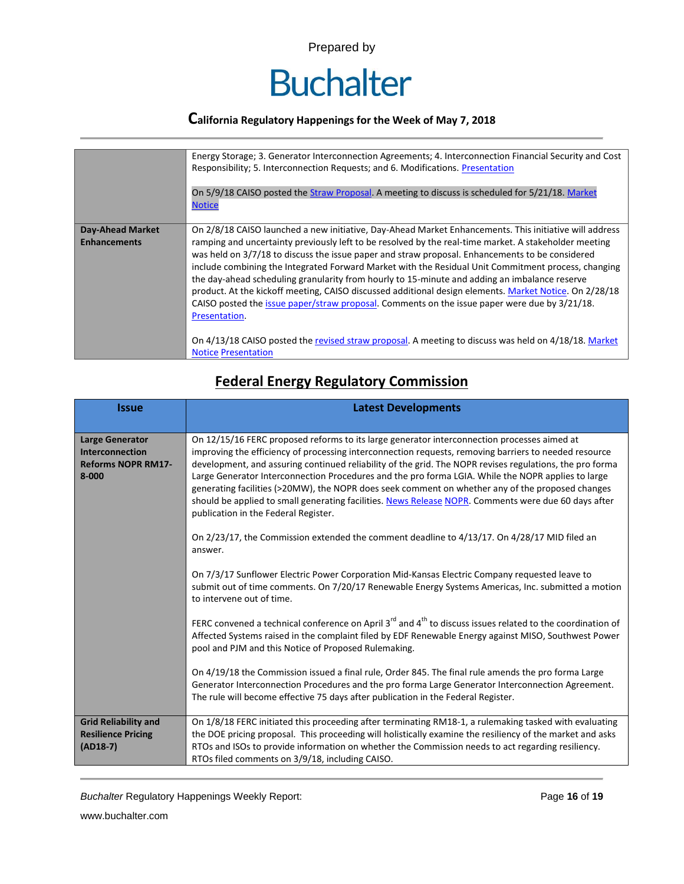

|                                                | Energy Storage; 3. Generator Interconnection Agreements; 4. Interconnection Financial Security and Cost<br>Responsibility; 5. Interconnection Requests; and 6. Modifications. Presentation<br>On 5/9/18 CAISO posted the Straw Proposal. A meeting to discuss is scheduled for 5/21/18. Market<br><b>Notice</b>                                                                                                                                                                                                                                                                                                                                                                                                                                                                                                                                                                              |
|------------------------------------------------|----------------------------------------------------------------------------------------------------------------------------------------------------------------------------------------------------------------------------------------------------------------------------------------------------------------------------------------------------------------------------------------------------------------------------------------------------------------------------------------------------------------------------------------------------------------------------------------------------------------------------------------------------------------------------------------------------------------------------------------------------------------------------------------------------------------------------------------------------------------------------------------------|
| <b>Day-Ahead Market</b><br><b>Enhancements</b> | On 2/8/18 CAISO launched a new initiative, Day-Ahead Market Enhancements. This initiative will address<br>ramping and uncertainty previously left to be resolved by the real-time market. A stakeholder meeting<br>was held on 3/7/18 to discuss the issue paper and straw proposal. Enhancements to be considered<br>include combining the Integrated Forward Market with the Residual Unit Commitment process, changing<br>the day-ahead scheduling granularity from hourly to 15-minute and adding an imbalance reserve<br>product. At the kickoff meeting, CAISO discussed additional design elements. Market Notice. On 2/28/18<br>CAISO posted the issue paper/straw proposal. Comments on the issue paper were due by 3/21/18.<br>Presentation.<br>On 4/13/18 CAISO posted the revised straw proposal. A meeting to discuss was held on 4/18/18. Market<br><b>Notice Presentation</b> |

# **Federal Energy Regulatory Commission**

| <b>Issue</b>                                                                               | <b>Latest Developments</b>                                                                                                                                                                                                                                                                                                                                                                                                                                                                                                                                                                                                                                                                                                                                                                                                                                                                                                                                                                                                                                                                                                                        |  |  |  |  |
|--------------------------------------------------------------------------------------------|---------------------------------------------------------------------------------------------------------------------------------------------------------------------------------------------------------------------------------------------------------------------------------------------------------------------------------------------------------------------------------------------------------------------------------------------------------------------------------------------------------------------------------------------------------------------------------------------------------------------------------------------------------------------------------------------------------------------------------------------------------------------------------------------------------------------------------------------------------------------------------------------------------------------------------------------------------------------------------------------------------------------------------------------------------------------------------------------------------------------------------------------------|--|--|--|--|
| <b>Large Generator</b><br><b>Interconnection</b><br><b>Reforms NOPR RM17-</b><br>$8 - 000$ | On 12/15/16 FERC proposed reforms to its large generator interconnection processes aimed at<br>improving the efficiency of processing interconnection requests, removing barriers to needed resource<br>development, and assuring continued reliability of the grid. The NOPR revises regulations, the pro forma<br>Large Generator Interconnection Procedures and the pro forma LGIA. While the NOPR applies to large<br>generating facilities (>20MW), the NOPR does seek comment on whether any of the proposed changes<br>should be applied to small generating facilities. News Release NOPR. Comments were due 60 days after<br>publication in the Federal Register.<br>On 2/23/17, the Commission extended the comment deadline to 4/13/17. On 4/28/17 MID filed an<br>answer.<br>On 7/3/17 Sunflower Electric Power Corporation Mid-Kansas Electric Company requested leave to<br>submit out of time comments. On 7/20/17 Renewable Energy Systems Americas, Inc. submitted a motion<br>to intervene out of time.<br>FERC convened a technical conference on April $3^{rd}$ and $4^{th}$ to discuss issues related to the coordination of |  |  |  |  |
|                                                                                            | Affected Systems raised in the complaint filed by EDF Renewable Energy against MISO, Southwest Power<br>pool and PJM and this Notice of Proposed Rulemaking.<br>On 4/19/18 the Commission issued a final rule, Order 845. The final rule amends the pro forma Large                                                                                                                                                                                                                                                                                                                                                                                                                                                                                                                                                                                                                                                                                                                                                                                                                                                                               |  |  |  |  |
|                                                                                            | Generator Interconnection Procedures and the pro forma Large Generator Interconnection Agreement.<br>The rule will become effective 75 days after publication in the Federal Register.                                                                                                                                                                                                                                                                                                                                                                                                                                                                                                                                                                                                                                                                                                                                                                                                                                                                                                                                                            |  |  |  |  |
| <b>Grid Reliability and</b><br><b>Resilience Pricing</b><br>$(AD18-7)$                     | On 1/8/18 FERC initiated this proceeding after terminating RM18-1, a rulemaking tasked with evaluating<br>the DOE pricing proposal. This proceeding will holistically examine the resiliency of the market and asks<br>RTOs and ISOs to provide information on whether the Commission needs to act regarding resiliency.<br>RTOs filed comments on 3/9/18, including CAISO.                                                                                                                                                                                                                                                                                                                                                                                                                                                                                                                                                                                                                                                                                                                                                                       |  |  |  |  |

**Buchalter Regulatory Happenings Weekly Report:** Page 16 of 19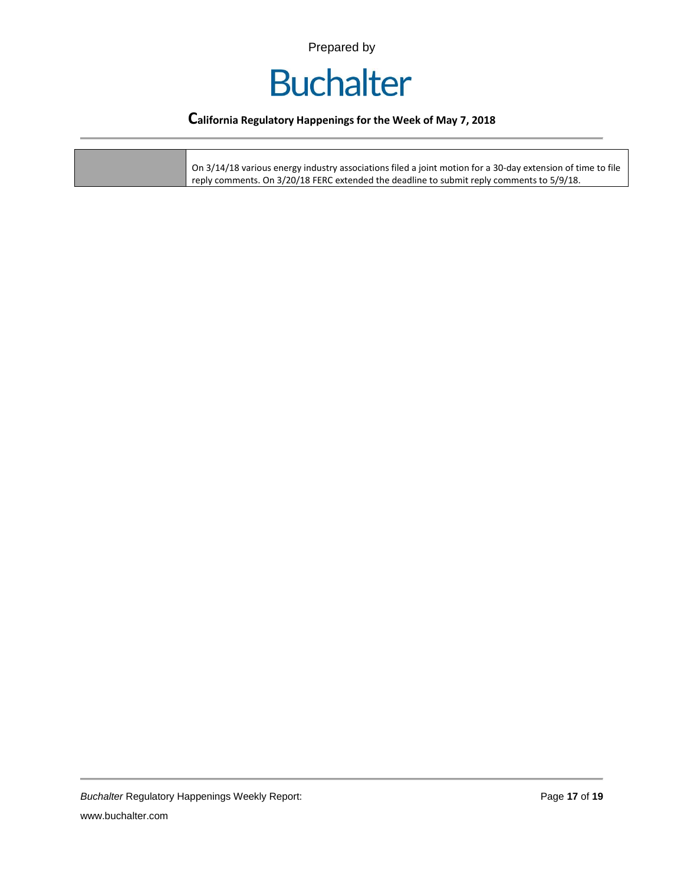

### **California Regulatory Happenings for the Week of May 7, 2018**

| On 3/14/18 various energy industry associations filed a joint motion for a 30-day extension of time to file<br>reply comments. On 3/20/18 FERC extended the deadline to submit reply comments to 5/9/18. |  |
|----------------------------------------------------------------------------------------------------------------------------------------------------------------------------------------------------------|--|
|----------------------------------------------------------------------------------------------------------------------------------------------------------------------------------------------------------|--|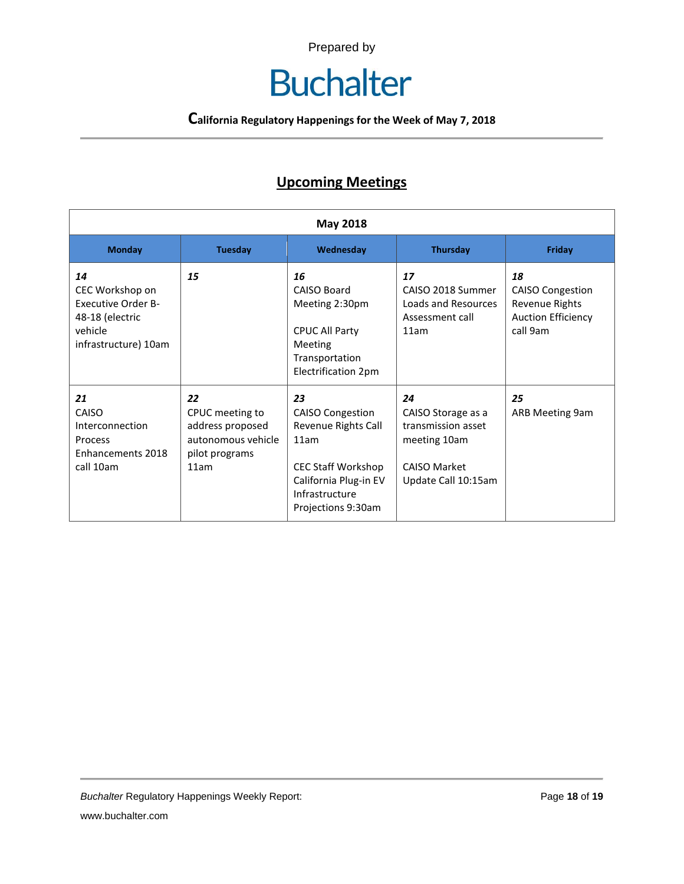# **Buchalter**

**California Regulatory Happenings for the Week of May 7, 2018**

# **Upcoming Meetings**

| <b>May 2018</b>                                                                                          |                                                                                           |                                                                                                                                                            |                                                                                                              |                                                                                          |
|----------------------------------------------------------------------------------------------------------|-------------------------------------------------------------------------------------------|------------------------------------------------------------------------------------------------------------------------------------------------------------|--------------------------------------------------------------------------------------------------------------|------------------------------------------------------------------------------------------|
| <b>Monday</b>                                                                                            | <b>Tuesday</b>                                                                            | Wednesday                                                                                                                                                  | <b>Thursday</b>                                                                                              | Friday                                                                                   |
| 14<br>CEC Workshop on<br><b>Executive Order B-</b><br>48-18 (electric<br>vehicle<br>infrastructure) 10am | 15                                                                                        | 16<br>CAISO Board<br>Meeting 2:30pm<br><b>CPUC All Party</b><br><b>Meeting</b><br>Transportation<br>Electrification 2pm                                    | 17<br>CAISO 2018 Summer<br>Loads and Resources<br>Assessment call<br>11am                                    | 18<br><b>CAISO Congestion</b><br>Revenue Rights<br><b>Auction Efficiency</b><br>call 9am |
| 21<br>CAISO<br>Interconnection<br>Process<br>Enhancements 2018<br>call 10am                              | 22<br>CPUC meeting to<br>address proposed<br>autonomous vehicle<br>pilot programs<br>11am | 23<br><b>CAISO Congestion</b><br>Revenue Rights Call<br>11am<br><b>CEC Staff Workshop</b><br>California Plug-in EV<br>Infrastructure<br>Projections 9:30am | 24<br>CAISO Storage as a<br>transmission asset<br>meeting 10am<br><b>CAISO Market</b><br>Update Call 10:15am | 25<br>ARB Meeting 9am                                                                    |